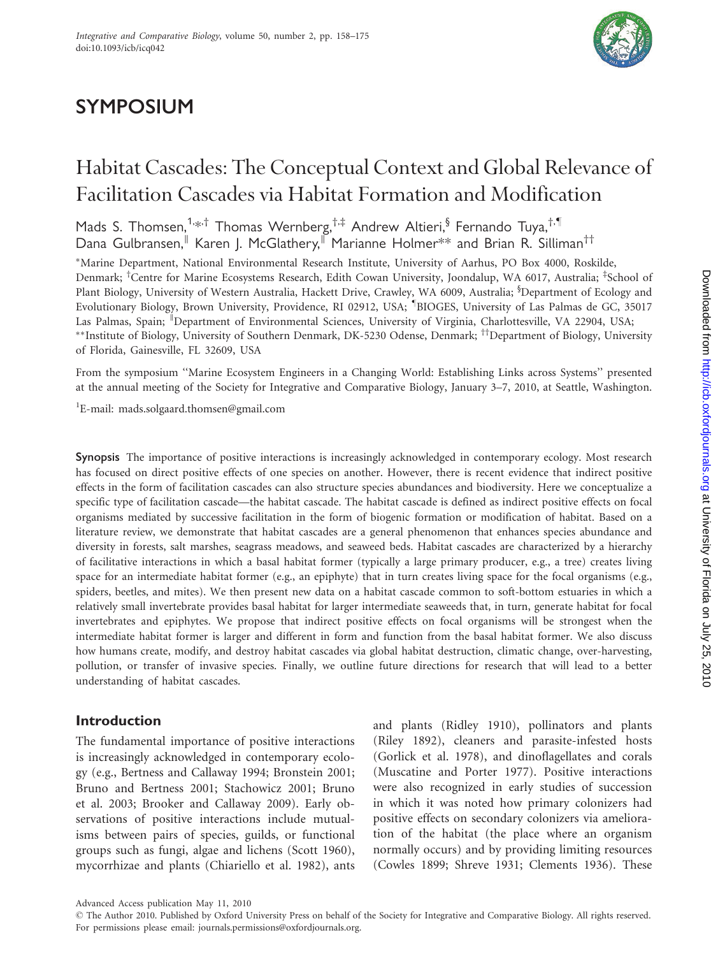# SYMPOSIUM



# Habitat Cascades: The Conceptual Context and Global Relevance of Facilitation Cascades via Habitat Formation and Modification

Mads S. Thomsen,<sup>1,</sup>\*<sup>,†</sup> Thomas Wernberg,<sup>†,‡</sup> Andrew Altieri,<sup>§</sup> Fernando Tuya,<sup>†,¶</sup><br>Dana Gulbransen,<sup>||</sup> Karen J. McGlathery,<sup>||</sup> Marianne Holmer\*\* and Brian R. Silliman<sup>††</sup>

-Marine Department, National Environmental Research Institute, University of Aarhus, PO Box 4000, Roskilde, Denmark; <sup>†</sup>Centre for Marine Ecosystems Research, Edith Cowan University, Joondalup, WA 6017, Australia; <sup>‡</sup>School of Plant Biology, University of Western Australia, Hackett Drive, Crawley, WA 6009, Australia; <sup>§</sup>Department of Ecology and Evolutionary Biology, Brown University, Providence, RI 02912, USA; <sup>¶</sup>BIOGES, University of Las Palmas de GC, 35017 Las Palmas, Spain; <sup>||</sup>Department of Environmental Sciences, University of Virginia, Charlottesville, VA 22904, USA; --Institute of Biology, University of Southern Denmark, DK-5230 Odense, Denmark; ††Department of Biology, University of Florida, Gainesville, FL 32609, USA

From the symposium ''Marine Ecosystem Engineers in a Changing World: Establishing Links across Systems'' presented at the annual meeting of the Society for Integrative and Comparative Biology, January 3–7, 2010, at Seattle, Washington.

1 E-mail: mads.solgaard.thomsen@gmail.com

Synopsis The importance of positive interactions is increasingly acknowledged in contemporary ecology. Most research has focused on direct positive effects of one species on another. However, there is recent evidence that indirect positive effects in the form of facilitation cascades can also structure species abundances and biodiversity. Here we conceptualize a specific type of facilitation cascade—the habitat cascade. The habitat cascade is defined as indirect positive effects on focal organisms mediated by successive facilitation in the form of biogenic formation or modification of habitat. Based on a literature review, we demonstrate that habitat cascades are a general phenomenon that enhances species abundance and diversity in forests, salt marshes, seagrass meadows, and seaweed beds. Habitat cascades are characterized by a hierarchy of facilitative interactions in which a basal habitat former (typically a large primary producer, e.g., a tree) creates living space for an intermediate habitat former (e.g., an epiphyte) that in turn creates living space for the focal organisms (e.g., spiders, beetles, and mites). We then present new data on a habitat cascade common to soft-bottom estuaries in which a relatively small invertebrate provides basal habitat for larger intermediate seaweeds that, in turn, generate habitat for focal invertebrates and epiphytes. We propose that indirect positive effects on focal organisms will be strongest when the intermediate habitat former is larger and different in form and function from the basal habitat former. We also discuss how humans create, modify, and destroy habitat cascades via global habitat destruction, climatic change, over-harvesting, pollution, or transfer of invasive species. Finally, we outline future directions for research that will lead to a better understanding of habitat cascades.

#### Introduction

The fundamental importance of positive interactions is increasingly acknowledged in contemporary ecology (e.g., Bertness and Callaway 1994; Bronstein 2001; Bruno and Bertness 2001; Stachowicz 2001; Bruno et al. 2003; Brooker and Callaway 2009). Early observations of positive interactions include mutualisms between pairs of species, guilds, or functional groups such as fungi, algae and lichens (Scott 1960), mycorrhizae and plants (Chiariello et al. 1982), ants and plants (Ridley 1910), pollinators and plants (Riley 1892), cleaners and parasite-infested hosts (Gorlick et al. 1978), and dinoflagellates and corals (Muscatine and Porter 1977). Positive interactions were also recognized in early studies of succession in which it was noted how primary colonizers had positive effects on secondary colonizers via amelioration of the habitat (the place where an organism normally occurs) and by providing limiting resources (Cowles 1899; Shreve 1931; Clements 1936). These

The Author 2010. Published by Oxford University Press on behalf of the Society for Integrative and Comparative Biology. All rights reserved. For permissions please email: journals.permissions@oxfordjournals.org.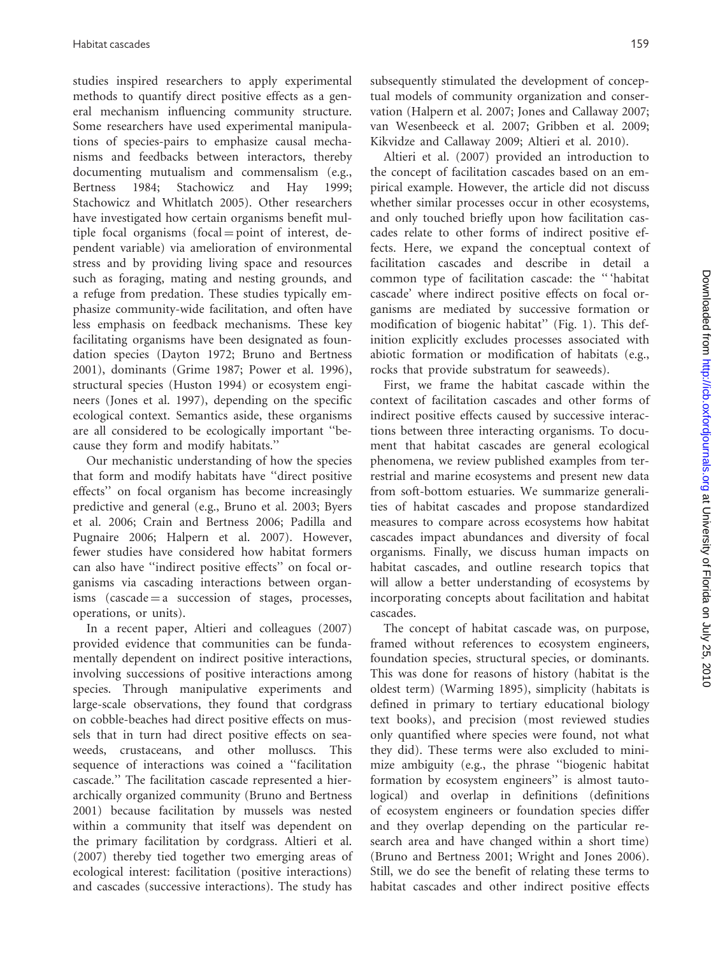studies inspired researchers to apply experimental methods to quantify direct positive effects as a general mechanism influencing community structure. Some researchers have used experimental manipulations of species-pairs to emphasize causal mechanisms and feedbacks between interactors, thereby documenting mutualism and commensalism (e.g., Bertness 1984; Stachowicz and Hay 1999; Stachowicz and Whitlatch 2005). Other researchers have investigated how certain organisms benefit multiple focal organisms (focal  $=$  point of interest, dependent variable) via amelioration of environmental stress and by providing living space and resources such as foraging, mating and nesting grounds, and a refuge from predation. These studies typically emphasize community-wide facilitation, and often have less emphasis on feedback mechanisms. These key facilitating organisms have been designated as foundation species (Dayton 1972; Bruno and Bertness 2001), dominants (Grime 1987; Power et al. 1996), structural species (Huston 1994) or ecosystem engineers (Jones et al. 1997), depending on the specific ecological context. Semantics aside, these organisms are all considered to be ecologically important ''because they form and modify habitats.''

Our mechanistic understanding of how the species that form and modify habitats have ''direct positive effects'' on focal organism has become increasingly predictive and general (e.g., Bruno et al. 2003; Byers et al. 2006; Crain and Bertness 2006; Padilla and Pugnaire 2006; Halpern et al. 2007). However, fewer studies have considered how habitat formers can also have ''indirect positive effects'' on focal organisms via cascading interactions between organ $i$ sms (cascade  $=$  a succession of stages, processes, operations, or units).

In a recent paper, Altieri and colleagues (2007) provided evidence that communities can be fundamentally dependent on indirect positive interactions, involving successions of positive interactions among species. Through manipulative experiments and large-scale observations, they found that cordgrass on cobble-beaches had direct positive effects on mussels that in turn had direct positive effects on seaweeds, crustaceans, and other molluscs. This sequence of interactions was coined a ''facilitation cascade.'' The facilitation cascade represented a hierarchically organized community (Bruno and Bertness 2001) because facilitation by mussels was nested within a community that itself was dependent on the primary facilitation by cordgrass. Altieri et al. (2007) thereby tied together two emerging areas of ecological interest: facilitation (positive interactions) and cascades (successive interactions). The study has

subsequently stimulated the development of conceptual models of community organization and conservation (Halpern et al. 2007; Jones and Callaway 2007; van Wesenbeeck et al. 2007; Gribben et al. 2009; Kikvidze and Callaway 2009; Altieri et al. 2010).

Altieri et al. (2007) provided an introduction to the concept of facilitation cascades based on an empirical example. However, the article did not discuss whether similar processes occur in other ecosystems, and only touched briefly upon how facilitation cascades relate to other forms of indirect positive effects. Here, we expand the conceptual context of facilitation cascades and describe in detail a common type of facilitation cascade: the '' 'habitat cascade' where indirect positive effects on focal organisms are mediated by successive formation or modification of biogenic habitat'' (Fig. 1). This definition explicitly excludes processes associated with abiotic formation or modification of habitats (e.g., rocks that provide substratum for seaweeds).

First, we frame the habitat cascade within the context of facilitation cascades and other forms of indirect positive effects caused by successive interactions between three interacting organisms. To document that habitat cascades are general ecological phenomena, we review published examples from terrestrial and marine ecosystems and present new data from soft-bottom estuaries. We summarize generalities of habitat cascades and propose standardized measures to compare across ecosystems how habitat cascades impact abundances and diversity of focal organisms. Finally, we discuss human impacts on habitat cascades, and outline research topics that will allow a better understanding of ecosystems by incorporating concepts about facilitation and habitat cascades.

The concept of habitat cascade was, on purpose, framed without references to ecosystem engineers, foundation species, structural species, or dominants. This was done for reasons of history (habitat is the oldest term) (Warming 1895), simplicity (habitats is defined in primary to tertiary educational biology text books), and precision (most reviewed studies only quantified where species were found, not what they did). These terms were also excluded to minimize ambiguity (e.g., the phrase ''biogenic habitat formation by ecosystem engineers'' is almost tautological) and overlap in definitions (definitions of ecosystem engineers or foundation species differ and they overlap depending on the particular research area and have changed within a short time) (Bruno and Bertness 2001; Wright and Jones 2006). Still, we do see the benefit of relating these terms to habitat cascades and other indirect positive effects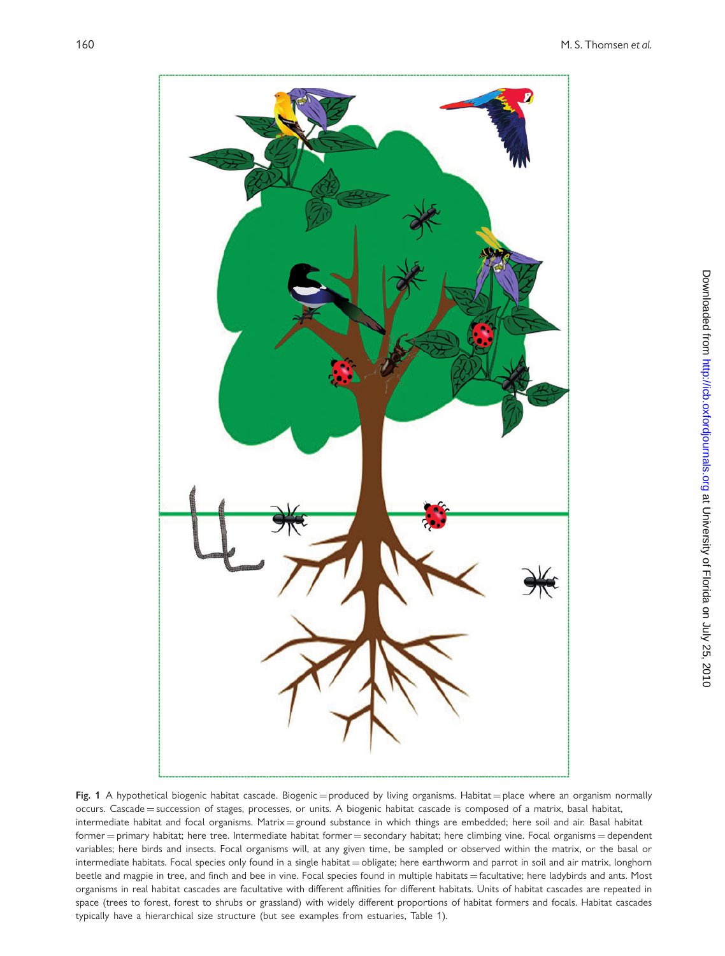

Fig. 1 A hypothetical biogenic habitat cascade. Biogenic = produced by living organisms. Habitat = place where an organism normally occurs. Cascade = succession of stages, processes, or units. A biogenic habitat cascade is composed of a matrix, basal habitat, intermediate habitat and focal organisms. Matrix = ground substance in which things are embedded; here soil and air. Basal habitat former = primary habitat; here tree. Intermediate habitat former = secondary habitat; here climbing vine. Focal organisms = dependent variables; here birds and insects. Focal organisms will, at any given time, be sampled or observed within the matrix, or the basal or intermediate habitats. Focal species only found in a single habitat = obligate; here earthworm and parrot in soil and air matrix, longhorn beetle and magpie in tree, and finch and bee in vine. Focal species found in multiple habitats = facultative; here ladybirds and ants. Most organisms in real habitat cascades are facultative with different affinities for different habitats. Units of habitat cascades are repeated in space (trees to forest, forest to shrubs or grassland) with widely different proportions of habitat formers and focals. Habitat cascades typically have a hierarchical size structure (but see examples from estuaries, Table 1).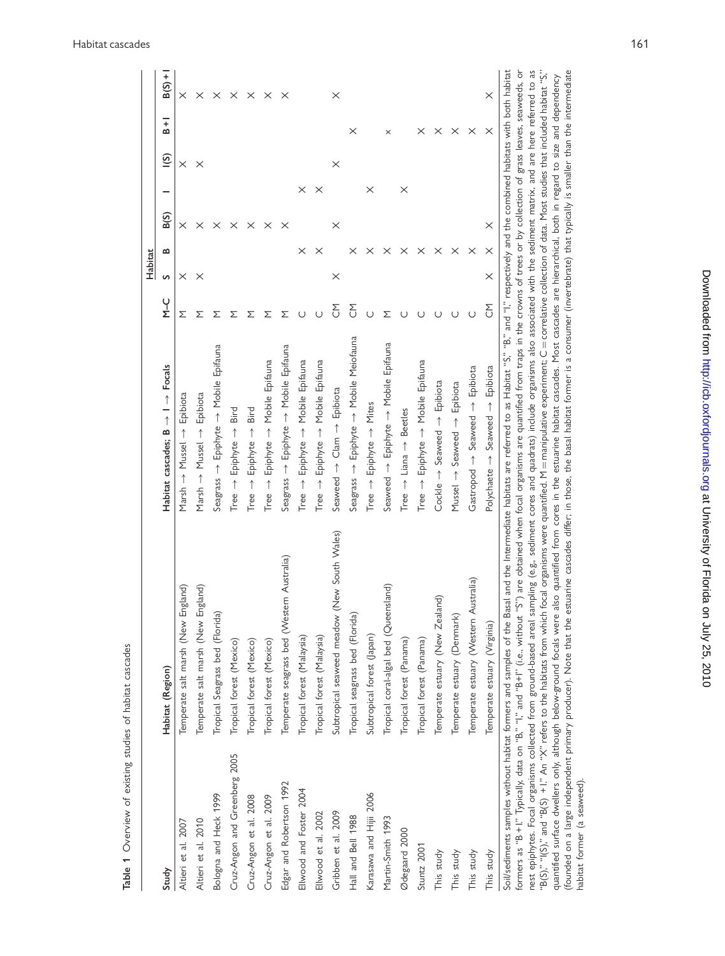| Seaweed $\rightarrow$ Clam $\rightarrow$ Epibiota<br>Epiphyte -><br>Epiphyte -><br>Marsh $\rightarrow$ Mussel $\rightarrow$<br>$Marsh \rightarrow$ Mussel<br>Tree $\rightarrow$<br>Tree $\rightarrow$<br>Tree $\rightarrow$<br>Tree $\rightarrow$<br>Tree $\rightarrow$<br>(New South Wales)<br>Temperate seagrass bed (Western Australia)<br>Temperate salt marsh (New England)<br>England)<br>Subtropical seaweed meadow<br>Tropical Seagrass bed (Florida<br>Tropical seagrass bed (Florida<br>Temperate salt marsh (New I<br>Subtropical forest (Japan)<br>Tropical forest (Malaysia)<br>Tropical forest (Malaysia)<br>Tropical forest (Mexico)<br>Tropical forest (Mexico)<br>Tropical forest (Mexico)<br>Habitat (Region)<br>Cruz-Angon and Greenberg 2005<br>Edgar and Robertson 1992<br>Ellwood and Foster 2004<br>Bologna and Heck 1999<br>Karasawa and Hijii 2006<br>Cruz-Angon et al. 2008<br>Cruz-Angon et al. 2009<br>Gribben et al. 2009<br>Ellwood et al. 2002<br>Hall and Bell 1988<br>Altieri et al. 2010<br>Altieri et al. 2007<br>Study |                    | Seagrass → Epiphyte → Mobile Epifauna<br>Epiphyte -> Mobile Epifauna<br>Habitat cascades: $B \rightarrow I \rightarrow$ Focals<br>Epibiota<br>Epibiota<br>Bird<br>Bird | V<br>N<br>N<br>Σ<br>Σ<br>Σ | S<br>$\times$ | 8(S)<br>≃            |          | <u>(S)</u> | ا +<br>a | $B(S) +$ |
|------------------------------------------------------------------------------------------------------------------------------------------------------------------------------------------------------------------------------------------------------------------------------------------------------------------------------------------------------------------------------------------------------------------------------------------------------------------------------------------------------------------------------------------------------------------------------------------------------------------------------------------------------------------------------------------------------------------------------------------------------------------------------------------------------------------------------------------------------------------------------------------------------------------------------------------------------------------------------------------------------------------------------------------------------------|--------------------|------------------------------------------------------------------------------------------------------------------------------------------------------------------------|----------------------------|---------------|----------------------|----------|------------|----------|----------|
|                                                                                                                                                                                                                                                                                                                                                                                                                                                                                                                                                                                                                                                                                                                                                                                                                                                                                                                                                                                                                                                            |                    |                                                                                                                                                                        |                            |               |                      |          |            |          |          |
|                                                                                                                                                                                                                                                                                                                                                                                                                                                                                                                                                                                                                                                                                                                                                                                                                                                                                                                                                                                                                                                            |                    |                                                                                                                                                                        |                            |               | $\times$             |          | $\times$   |          | $\times$ |
|                                                                                                                                                                                                                                                                                                                                                                                                                                                                                                                                                                                                                                                                                                                                                                                                                                                                                                                                                                                                                                                            |                    |                                                                                                                                                                        |                            | ×             |                      |          | $\times$   |          |          |
|                                                                                                                                                                                                                                                                                                                                                                                                                                                                                                                                                                                                                                                                                                                                                                                                                                                                                                                                                                                                                                                            |                    |                                                                                                                                                                        |                            |               |                      |          |            |          |          |
|                                                                                                                                                                                                                                                                                                                                                                                                                                                                                                                                                                                                                                                                                                                                                                                                                                                                                                                                                                                                                                                            |                    |                                                                                                                                                                        | Σ                          |               |                      |          |            |          |          |
|                                                                                                                                                                                                                                                                                                                                                                                                                                                                                                                                                                                                                                                                                                                                                                                                                                                                                                                                                                                                                                                            |                    |                                                                                                                                                                        | Σ                          |               |                      |          |            |          |          |
|                                                                                                                                                                                                                                                                                                                                                                                                                                                                                                                                                                                                                                                                                                                                                                                                                                                                                                                                                                                                                                                            |                    |                                                                                                                                                                        | Σ                          |               | ×                    |          |            |          |          |
|                                                                                                                                                                                                                                                                                                                                                                                                                                                                                                                                                                                                                                                                                                                                                                                                                                                                                                                                                                                                                                                            |                    | Seagrass → Epiphyte → Mobile Epifauna                                                                                                                                  | Σ                          |               | ×                    |          |            |          |          |
|                                                                                                                                                                                                                                                                                                                                                                                                                                                                                                                                                                                                                                                                                                                                                                                                                                                                                                                                                                                                                                                            |                    | Epiphyte -> Mobile Epifauna                                                                                                                                            |                            |               | ×                    | $\times$ |            |          |          |
|                                                                                                                                                                                                                                                                                                                                                                                                                                                                                                                                                                                                                                                                                                                                                                                                                                                                                                                                                                                                                                                            |                    | Epiphyte -> Mobile Epifauna                                                                                                                                            |                            |               | $\times$             | $\times$ |            |          |          |
|                                                                                                                                                                                                                                                                                                                                                                                                                                                                                                                                                                                                                                                                                                                                                                                                                                                                                                                                                                                                                                                            |                    |                                                                                                                                                                        | ξ                          | $\times$      | $\times$             |          | ×          |          | $\times$ |
|                                                                                                                                                                                                                                                                                                                                                                                                                                                                                                                                                                                                                                                                                                                                                                                                                                                                                                                                                                                                                                                            |                    | Seagrass -> Epiphyte -> Mobile Meiofauna                                                                                                                               | ξ                          |               |                      |          |            | $\times$ |          |
|                                                                                                                                                                                                                                                                                                                                                                                                                                                                                                                                                                                                                                                                                                                                                                                                                                                                                                                                                                                                                                                            | Tree $\rightarrow$ | Epiphyte -> Mites                                                                                                                                                      |                            |               |                      | $\times$ |            |          |          |
| Tropical coral-algal bed (Queensland)<br>Martin-Smith 1993                                                                                                                                                                                                                                                                                                                                                                                                                                                                                                                                                                                                                                                                                                                                                                                                                                                                                                                                                                                                 |                    | Seaweed $\rightarrow$ Epiphyte $\rightarrow$ Mobile Epifauna                                                                                                           | Σ                          |               |                      |          |            | ×        |          |
| Tree $\rightarrow$ Liana $\rightarrow$ Beetles<br>Tropical forest (Panama)<br>Ødegaard 2000                                                                                                                                                                                                                                                                                                                                                                                                                                                                                                                                                                                                                                                                                                                                                                                                                                                                                                                                                                |                    |                                                                                                                                                                        |                            |               |                      | $\times$ |            |          |          |
| Tropical forest (Panama)<br>Stuntz 2001                                                                                                                                                                                                                                                                                                                                                                                                                                                                                                                                                                                                                                                                                                                                                                                                                                                                                                                                                                                                                    |                    | Tree $\rightarrow$ Epiphyte $\rightarrow$ Mobile Epifauna                                                                                                              |                            |               |                      |          |            | ×        |          |
| $Cockle \rightarrow$ Seaweed $\rightarrow$ Epibiota<br>Temperate estuary (New Zealand)<br>This study                                                                                                                                                                                                                                                                                                                                                                                                                                                                                                                                                                                                                                                                                                                                                                                                                                                                                                                                                       |                    |                                                                                                                                                                        |                            |               | ×                    |          |            | ×        |          |
| $Mussel \rightarrow$<br>Temperate estuary (Denmark)<br>This study                                                                                                                                                                                                                                                                                                                                                                                                                                                                                                                                                                                                                                                                                                                                                                                                                                                                                                                                                                                          |                    | Seaweed $\rightarrow$ Epibiota                                                                                                                                         |                            |               |                      |          |            | ×        |          |
| Australia<br>Temperate estuary (Western<br>This study                                                                                                                                                                                                                                                                                                                                                                                                                                                                                                                                                                                                                                                                                                                                                                                                                                                                                                                                                                                                      |                    | Gastropod $\rightarrow$ Seaweed $\rightarrow$ Epibiota                                                                                                                 |                            |               | $\times$             |          |            | $\times$ |          |
| $Polychate \rightarrow$<br>Temperate estuary (Virginia)<br>This study                                                                                                                                                                                                                                                                                                                                                                                                                                                                                                                                                                                                                                                                                                                                                                                                                                                                                                                                                                                      |                    | Epibiota<br>Seaweed $\rightarrow$                                                                                                                                      | ξ                          | $\times$      | $\times$<br>$\times$ |          |            | $\times$ | ×        |

וטוווה שבים של האישי, שהם ישראל היה את היי היי היי של היי של השלום של היי של היי של היי של היי של היי של היי של<br>These Focal organisms collected from ground-based areal sampling (e.g., sediment cores and quadrats) include (founded on a large independent primary producer). Note that the estuarine cascades differ; in those, the basal habitat former is a consumer (invertebrate) that typically is smaller than the intermediate formers as ''B + I.'' Typically, data on ''B,'' ''I,'' and ''B+I'' (i.e., without ''S'') are obtained when focal organisms are quantified from traps in the crowns of trees or by collection of grass leaves, seaweeds, or ''B(S),''''(GS),'''An ''X'' refers to the habitats from which focal organisms were quantified. M = manipulative experiment; C = correlative collection of data. Most studies that included habitat ''S,'' quantified surface dwellers only, although below-ground focals were also quantified from cores in the estuarine habitat cascades. Most cascades are hierarchical, both in regard to size and dependency (founded on a large independent primary producer). Note that the estuarine cascades differ; in those, the basal habitat former is a consumer (invertebrate) that typically is smaller than the intermediate nest epiphytes. Focal organisms collected from ground-based areal sampling (e.g., sediment cores and quadrats) include organisms also associated with the sediment matrix, and are here referred to as quantified surface dwellers only, although below-ground focals were also quantified from cores in the estuarine habitat cascades. Most cascades are hierarchical, both in regard to size and dependy habitat former (a seaweed). habitat former (a seaweed).

Table 1 Overview of existing studies of habitat cascades

Table 1 Overview of existing studies of habitat cascades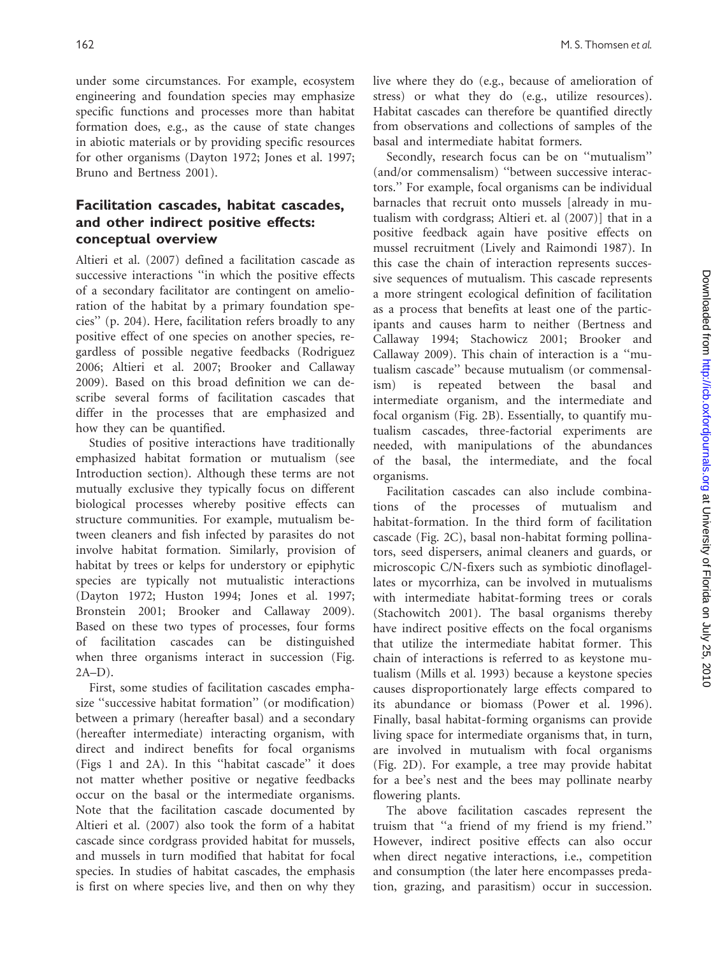under some circumstances. For example, ecosystem engineering and foundation species may emphasize specific functions and processes more than habitat formation does, e.g., as the cause of state changes in abiotic materials or by providing specific resources for other organisms (Dayton 1972; Jones et al. 1997; Bruno and Bertness 2001).

# Facilitation cascades, habitat cascades, and other indirect positive effects: conceptual overview

Altieri et al. (2007) defined a facilitation cascade as successive interactions ''in which the positive effects of a secondary facilitator are contingent on amelioration of the habitat by a primary foundation species'' (p. 204). Here, facilitation refers broadly to any positive effect of one species on another species, regardless of possible negative feedbacks (Rodriguez 2006; Altieri et al. 2007; Brooker and Callaway 2009). Based on this broad definition we can describe several forms of facilitation cascades that differ in the processes that are emphasized and how they can be quantified.

Studies of positive interactions have traditionally emphasized habitat formation or mutualism (see Introduction section). Although these terms are not mutually exclusive they typically focus on different biological processes whereby positive effects can structure communities. For example, mutualism between cleaners and fish infected by parasites do not involve habitat formation. Similarly, provision of habitat by trees or kelps for understory or epiphytic species are typically not mutualistic interactions (Dayton 1972; Huston 1994; Jones et al. 1997; Bronstein 2001; Brooker and Callaway 2009). Based on these two types of processes, four forms of facilitation cascades can be distinguished when three organisms interact in succession (Fig. 2A–D).

First, some studies of facilitation cascades emphasize ''successive habitat formation'' (or modification) between a primary (hereafter basal) and a secondary (hereafter intermediate) interacting organism, with direct and indirect benefits for focal organisms (Figs 1 and 2A). In this ''habitat cascade'' it does not matter whether positive or negative feedbacks occur on the basal or the intermediate organisms. Note that the facilitation cascade documented by Altieri et al. (2007) also took the form of a habitat cascade since cordgrass provided habitat for mussels, and mussels in turn modified that habitat for focal species. In studies of habitat cascades, the emphasis is first on where species live, and then on why they

live where they do (e.g., because of amelioration of stress) or what they do (e.g., utilize resources). Habitat cascades can therefore be quantified directly from observations and collections of samples of the basal and intermediate habitat formers.

Secondly, research focus can be on ''mutualism'' (and/or commensalism) ''between successive interactors.'' For example, focal organisms can be individual barnacles that recruit onto mussels [already in mutualism with cordgrass; Altieri et. al (2007)] that in a positive feedback again have positive effects on mussel recruitment (Lively and Raimondi 1987). In this case the chain of interaction represents successive sequences of mutualism. This cascade represents a more stringent ecological definition of facilitation as a process that benefits at least one of the participants and causes harm to neither (Bertness and Callaway 1994; Stachowicz 2001; Brooker and Callaway 2009). This chain of interaction is a ''mutualism cascade'' because mutualism (or commensalism) is repeated between the basal and intermediate organism, and the intermediate and focal organism (Fig. 2B). Essentially, to quantify mutualism cascades, three-factorial experiments are needed, with manipulations of the abundances of the basal, the intermediate, and the focal organisms.

Facilitation cascades can also include combinations of the processes of mutualism and habitat-formation. In the third form of facilitation cascade (Fig. 2C), basal non-habitat forming pollinators, seed dispersers, animal cleaners and guards, or microscopic C/N-fixers such as symbiotic dinoflagellates or mycorrhiza, can be involved in mutualisms with intermediate habitat-forming trees or corals (Stachowitch 2001). The basal organisms thereby have indirect positive effects on the focal organisms that utilize the intermediate habitat former. This chain of interactions is referred to as keystone mutualism (Mills et al. 1993) because a keystone species causes disproportionately large effects compared to its abundance or biomass (Power et al. 1996). Finally, basal habitat-forming organisms can provide living space for intermediate organisms that, in turn, are involved in mutualism with focal organisms (Fig. 2D). For example, a tree may provide habitat for a bee's nest and the bees may pollinate nearby flowering plants.

The above facilitation cascades represent the truism that ''a friend of my friend is my friend.'' However, indirect positive effects can also occur when direct negative interactions, i.e., competition and consumption (the later here encompasses predation, grazing, and parasitism) occur in succession.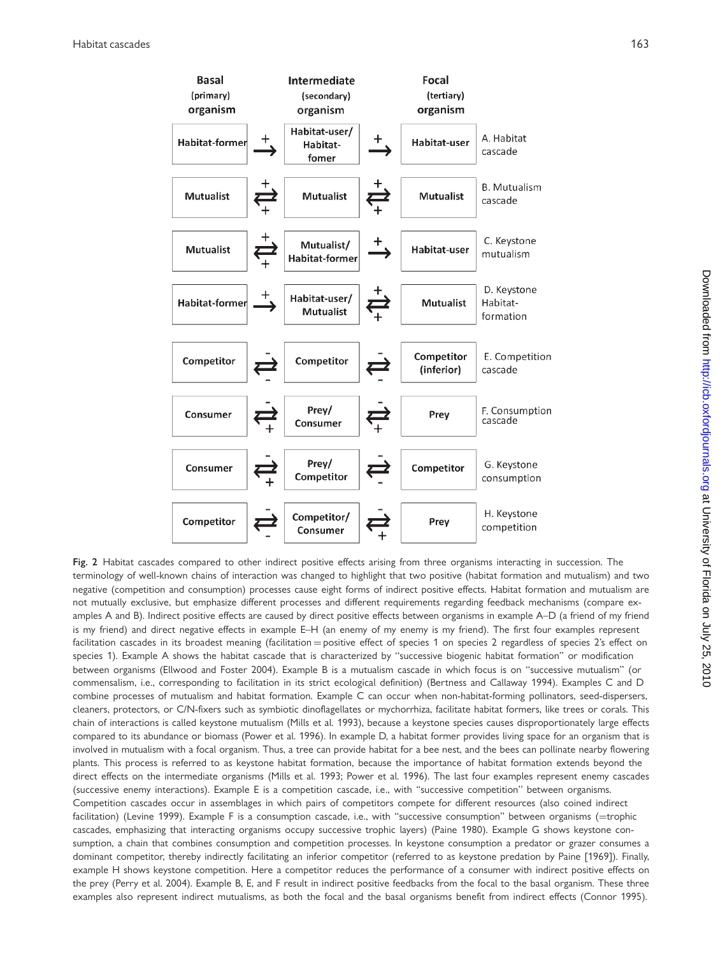

Fig. 2 Habitat cascades compared to other indirect positive effects arising from three organisms interacting in succession. The terminology of well-known chains of interaction was changed to highlight that two positive (habitat formation and mutualism) and two negative (competition and consumption) processes cause eight forms of indirect positive effects. Habitat formation and mutualism are not mutually exclusive, but emphasize different processes and different requirements regarding feedback mechanisms (compare examples A and B). Indirect positive effects are caused by direct positive effects between organisms in example A–D (a friend of my friend is my friend) and direct negative effects in example E–H (an enemy of my enemy is my friend). The first four examples represent facilitation cascades in its broadest meaning (facilitation = positive effect of species 1 on species 2 regardless of species 2's effect on species 1). Example A shows the habitat cascade that is characterized by ''successive biogenic habitat formation'' or modification between organisms (Ellwood and Foster 2004). Example B is a mutualism cascade in which focus is on ''successive mutualism'' (or commensalism, i.e., corresponding to facilitation in its strict ecological definition) (Bertness and Callaway 1994). Examples C and D combine processes of mutualism and habitat formation. Example C can occur when non-habitat-forming pollinators, seed-dispersers, cleaners, protectors, or C/N-fixers such as symbiotic dinoflagellates or mychorrhiza, facilitate habitat formers, like trees or corals. This chain of interactions is called keystone mutualism (Mills et al. 1993), because a keystone species causes disproportionately large effects compared to its abundance or biomass (Power et al. 1996). In example D, a habitat former provides living space for an organism that is involved in mutualism with a focal organism. Thus, a tree can provide habitat for a bee nest, and the bees can pollinate nearby flowering plants. This process is referred to as keystone habitat formation, because the importance of habitat formation extends beyond the direct effects on the intermediate organisms (Mills et al. 1993; Power et al. 1996). The last four examples represent enemy cascades (successive enemy interactions). Example E is a competition cascade, i.e., with ''successive competition'' between organisms. Competition cascades occur in assemblages in which pairs of competitors compete for different resources (also coined indirect facilitation) (Levine 1999). Example F is a consumption cascade, i.e., with "successive consumption" between organisms (=trophic cascades, emphasizing that interacting organisms occupy successive trophic layers) (Paine 1980). Example G shows keystone consumption, a chain that combines consumption and competition processes. In keystone consumption a predator or grazer consumes a dominant competitor, thereby indirectly facilitating an inferior competitor (referred to as keystone predation by Paine [1969]). Finally, example H shows keystone competition. Here a competitor reduces the performance of a consumer with indirect positive effects on the prey (Perry et al. 2004). Example B, E, and F result in indirect positive feedbacks from the focal to the basal organism. These three examples also represent indirect mutualisms, as both the focal and the basal organisms benefit from indirect effects (Connor 1995).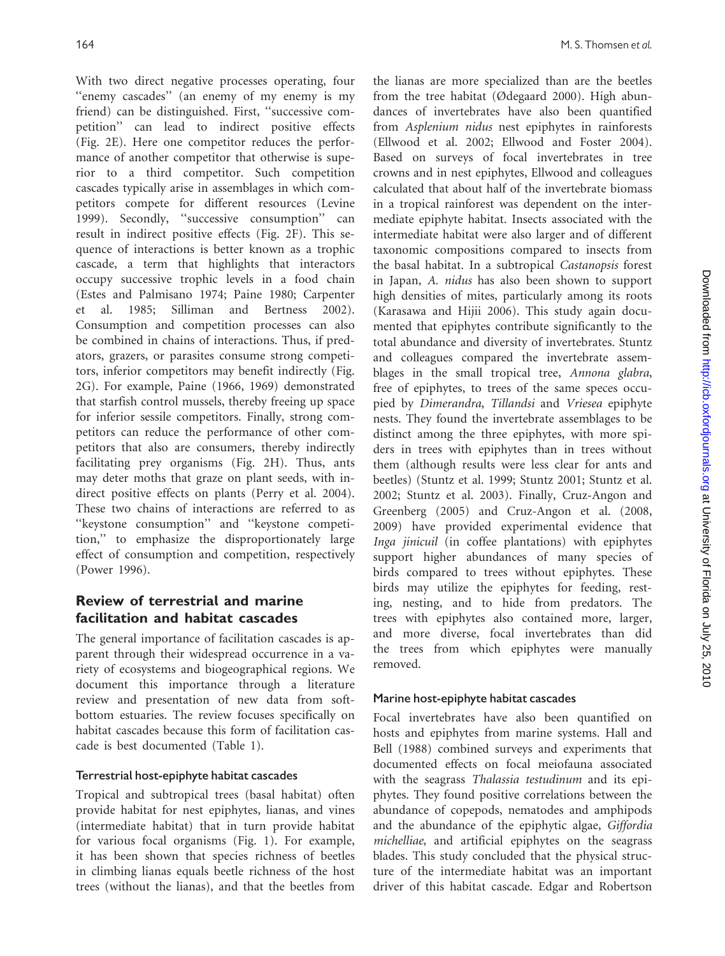With two direct negative processes operating, four ''enemy cascades'' (an enemy of my enemy is my friend) can be distinguished. First, ''successive competition'' can lead to indirect positive effects (Fig. 2E). Here one competitor reduces the performance of another competitor that otherwise is superior to a third competitor. Such competition cascades typically arise in assemblages in which competitors compete for different resources (Levine 1999). Secondly, ''successive consumption'' can result in indirect positive effects (Fig. 2F). This sequence of interactions is better known as a trophic cascade, a term that highlights that interactors occupy successive trophic levels in a food chain (Estes and Palmisano 1974; Paine 1980; Carpenter et al. 1985; Silliman and Bertness 2002). Consumption and competition processes can also be combined in chains of interactions. Thus, if predators, grazers, or parasites consume strong competitors, inferior competitors may benefit indirectly (Fig. 2G). For example, Paine (1966, 1969) demonstrated that starfish control mussels, thereby freeing up space for inferior sessile competitors. Finally, strong competitors can reduce the performance of other competitors that also are consumers, thereby indirectly facilitating prey organisms (Fig. 2H). Thus, ants may deter moths that graze on plant seeds, with indirect positive effects on plants (Perry et al. 2004). These two chains of interactions are referred to as ''keystone consumption'' and ''keystone competition,'' to emphasize the disproportionately large effect of consumption and competition, respectively (Power 1996).

# Review of terrestrial and marine facilitation and habitat cascades

The general importance of facilitation cascades is apparent through their widespread occurrence in a variety of ecosystems and biogeographical regions. We document this importance through a literature review and presentation of new data from softbottom estuaries. The review focuses specifically on habitat cascades because this form of facilitation cascade is best documented (Table 1).

#### Terrestrial host-epiphyte habitat cascades

Tropical and subtropical trees (basal habitat) often provide habitat for nest epiphytes, lianas, and vines (intermediate habitat) that in turn provide habitat for various focal organisms (Fig. 1). For example, it has been shown that species richness of beetles in climbing lianas equals beetle richness of the host trees (without the lianas), and that the beetles from

the lianas are more specialized than are the beetles from the tree habitat (Ødegaard 2000). High abundances of invertebrates have also been quantified from Asplenium nidus nest epiphytes in rainforests (Ellwood et al. 2002; Ellwood and Foster 2004). Based on surveys of focal invertebrates in tree crowns and in nest epiphytes, Ellwood and colleagues calculated that about half of the invertebrate biomass in a tropical rainforest was dependent on the intermediate epiphyte habitat. Insects associated with the intermediate habitat were also larger and of different taxonomic compositions compared to insects from the basal habitat. In a subtropical Castanopsis forest in Japan, A. nidus has also been shown to support high densities of mites, particularly among its roots (Karasawa and Hijii 2006). This study again documented that epiphytes contribute significantly to the total abundance and diversity of invertebrates. Stuntz and colleagues compared the invertebrate assemblages in the small tropical tree, Annona glabra, free of epiphytes, to trees of the same speces occupied by Dimerandra, Tillandsi and Vriesea epiphyte nests. They found the invertebrate assemblages to be distinct among the three epiphytes, with more spiders in trees with epiphytes than in trees without them (although results were less clear for ants and beetles) (Stuntz et al. 1999; Stuntz 2001; Stuntz et al. 2002; Stuntz et al. 2003). Finally, Cruz-Angon and Greenberg (2005) and Cruz-Angon et al. (2008, 2009) have provided experimental evidence that Inga jinicuil (in coffee plantations) with epiphytes support higher abundances of many species of birds compared to trees without epiphytes. These birds may utilize the epiphytes for feeding, resting, nesting, and to hide from predators. The trees with epiphytes also contained more, larger, and more diverse, focal invertebrates than did the trees from which epiphytes were manually removed.

#### Marine host-epiphyte habitat cascades

Focal invertebrates have also been quantified on hosts and epiphytes from marine systems. Hall and Bell (1988) combined surveys and experiments that documented effects on focal meiofauna associated with the seagrass Thalassia testudinum and its epiphytes. They found positive correlations between the abundance of copepods, nematodes and amphipods and the abundance of the epiphytic algae, Giffordia michelliae, and artificial epiphytes on the seagrass blades. This study concluded that the physical structure of the intermediate habitat was an important driver of this habitat cascade. Edgar and Robertson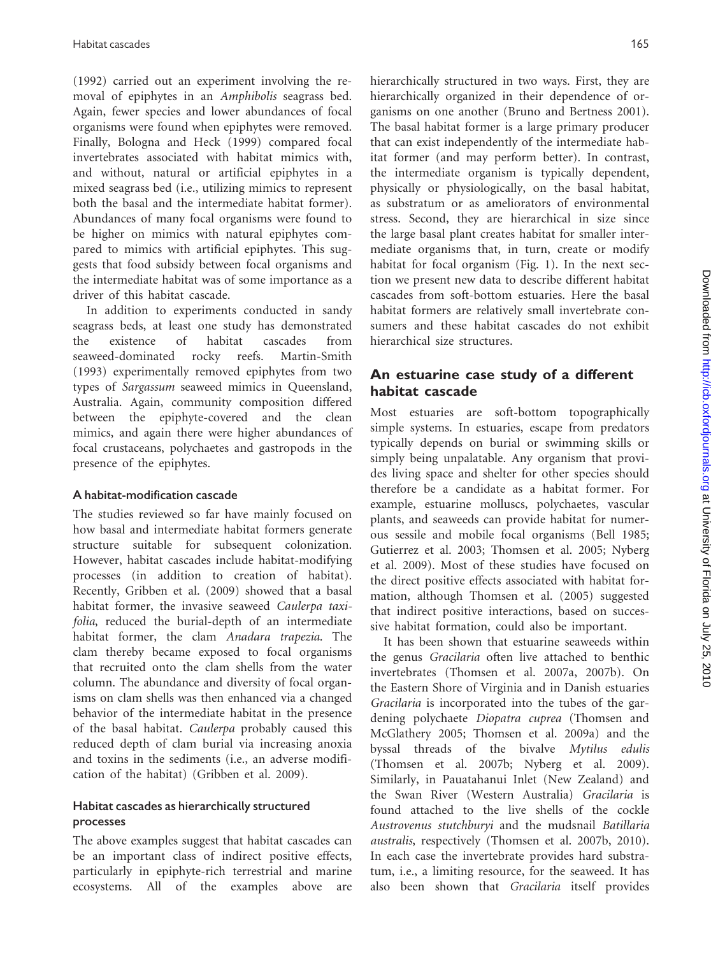(1992) carried out an experiment involving the removal of epiphytes in an Amphibolis seagrass bed. Again, fewer species and lower abundances of focal organisms were found when epiphytes were removed. Finally, Bologna and Heck (1999) compared focal invertebrates associated with habitat mimics with, and without, natural or artificial epiphytes in a mixed seagrass bed (i.e., utilizing mimics to represent both the basal and the intermediate habitat former). Abundances of many focal organisms were found to be higher on mimics with natural epiphytes compared to mimics with artificial epiphytes. This suggests that food subsidy between focal organisms and the intermediate habitat was of some importance as a driver of this habitat cascade.

In addition to experiments conducted in sandy seagrass beds, at least one study has demonstrated the existence of habitat cascades from seaweed-dominated rocky reefs. Martin-Smith (1993) experimentally removed epiphytes from two types of Sargassum seaweed mimics in Queensland, Australia. Again, community composition differed between the epiphyte-covered and the clean mimics, and again there were higher abundances of focal crustaceans, polychaetes and gastropods in the presence of the epiphytes.

#### A habitat-modification cascade

The studies reviewed so far have mainly focused on how basal and intermediate habitat formers generate structure suitable for subsequent colonization. However, habitat cascades include habitat-modifying processes (in addition to creation of habitat). Recently, Gribben et al. (2009) showed that a basal habitat former, the invasive seaweed Caulerpa taxifolia, reduced the burial-depth of an intermediate habitat former, the clam Anadara trapezia. The clam thereby became exposed to focal organisms that recruited onto the clam shells from the water column. The abundance and diversity of focal organisms on clam shells was then enhanced via a changed behavior of the intermediate habitat in the presence of the basal habitat. Caulerpa probably caused this reduced depth of clam burial via increasing anoxia and toxins in the sediments (i.e., an adverse modification of the habitat) (Gribben et al. 2009).

#### Habitat cascades as hierarchically structured processes

The above examples suggest that habitat cascades can be an important class of indirect positive effects, particularly in epiphyte-rich terrestrial and marine ecosystems. All of the examples above are hierarchically structured in two ways. First, they are hierarchically organized in their dependence of organisms on one another (Bruno and Bertness 2001). The basal habitat former is a large primary producer that can exist independently of the intermediate habitat former (and may perform better). In contrast, the intermediate organism is typically dependent, physically or physiologically, on the basal habitat, as substratum or as ameliorators of environmental stress. Second, they are hierarchical in size since the large basal plant creates habitat for smaller intermediate organisms that, in turn, create or modify habitat for focal organism (Fig. 1). In the next section we present new data to describe different habitat cascades from soft-bottom estuaries. Here the basal habitat formers are relatively small invertebrate consumers and these habitat cascades do not exhibit hierarchical size structures.

## An estuarine case study of a different habitat cascade

Most estuaries are soft-bottom topographically simple systems. In estuaries, escape from predators typically depends on burial or swimming skills or simply being unpalatable. Any organism that provides living space and shelter for other species should therefore be a candidate as a habitat former. For example, estuarine molluscs, polychaetes, vascular plants, and seaweeds can provide habitat for numerous sessile and mobile focal organisms (Bell 1985; Gutierrez et al. 2003; Thomsen et al. 2005; Nyberg et al. 2009). Most of these studies have focused on the direct positive effects associated with habitat formation, although Thomsen et al. (2005) suggested that indirect positive interactions, based on successive habitat formation, could also be important.

It has been shown that estuarine seaweeds within the genus Gracilaria often live attached to benthic invertebrates (Thomsen et al. 2007a, 2007b). On the Eastern Shore of Virginia and in Danish estuaries Gracilaria is incorporated into the tubes of the gardening polychaete Diopatra cuprea (Thomsen and McGlathery 2005; Thomsen et al. 2009a) and the byssal threads of the bivalve Mytilus edulis (Thomsen et al. 2007b; Nyberg et al. 2009). Similarly, in Pauatahanui Inlet (New Zealand) and the Swan River (Western Australia) Gracilaria is found attached to the live shells of the cockle Austrovenus stutchburyi and the mudsnail Batillaria australis, respectively (Thomsen et al. 2007b, 2010). In each case the invertebrate provides hard substratum, i.e., a limiting resource, for the seaweed. It has also been shown that Gracilaria itself provides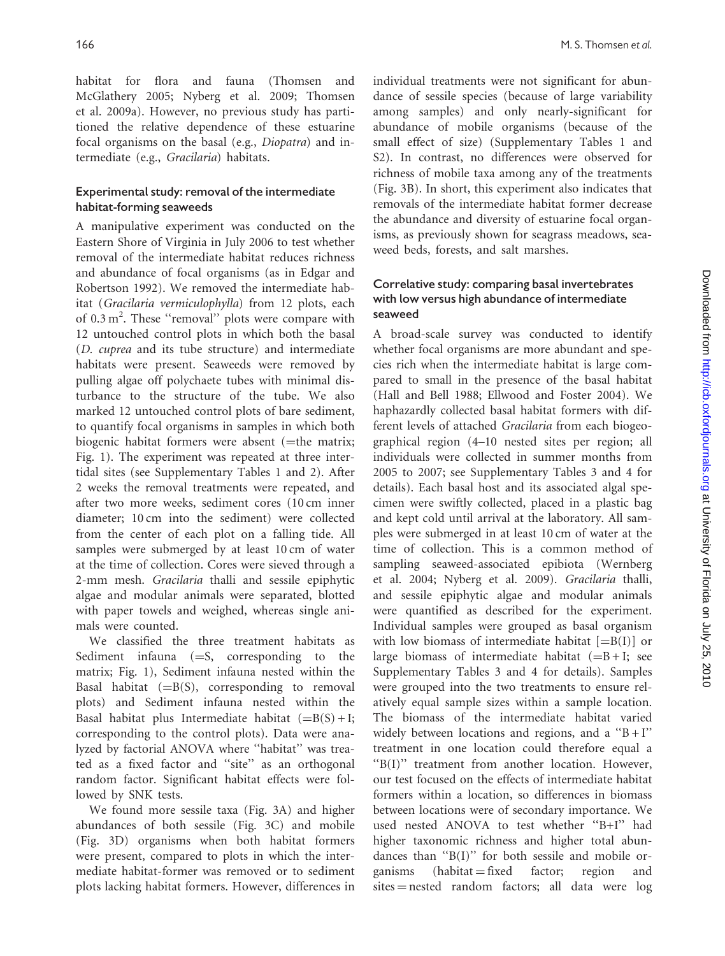habitat for flora and fauna (Thomsen and McGlathery 2005; Nyberg et al. 2009; Thomsen et al. 2009a). However, no previous study has partitioned the relative dependence of these estuarine focal organisms on the basal (e.g., Diopatra) and intermediate (e.g., Gracilaria) habitats.

## Experimental study: removal of the intermediate habitat-forming seaweeds

A manipulative experiment was conducted on the Eastern Shore of Virginia in July 2006 to test whether removal of the intermediate habitat reduces richness and abundance of focal organisms (as in Edgar and Robertson 1992). We removed the intermediate habitat (Gracilaria vermiculophylla) from 12 plots, each of 0.3 m<sup>2</sup>. These "removal" plots were compare with 12 untouched control plots in which both the basal (D. cuprea and its tube structure) and intermediate habitats were present. Seaweeds were removed by pulling algae off polychaete tubes with minimal disturbance to the structure of the tube. We also marked 12 untouched control plots of bare sediment, to quantify focal organisms in samples in which both biogenic habitat formers were absent  $($ =the matrix; Fig. 1). The experiment was repeated at three intertidal sites (see Supplementary Tables 1 and 2). After 2 weeks the removal treatments were repeated, and after two more weeks, sediment cores (10 cm inner diameter; 10 cm into the sediment) were collected from the center of each plot on a falling tide. All samples were submerged by at least 10 cm of water at the time of collection. Cores were sieved through a 2-mm mesh. Gracilaria thalli and sessile epiphytic algae and modular animals were separated, blotted with paper towels and weighed, whereas single animals were counted.

We classified the three treatment habitats as Sediment infauna  $(=S,$  corresponding to the matrix; Fig. 1), Sediment infauna nested within the Basal habitat  $(=B(S))$ , corresponding to removal plots) and Sediment infauna nested within the Basal habitat plus Intermediate habitat  $(=B(S) + I;$ corresponding to the control plots). Data were analyzed by factorial ANOVA where ''habitat'' was treated as a fixed factor and ''site'' as an orthogonal random factor. Significant habitat effects were followed by SNK tests.

We found more sessile taxa (Fig. 3A) and higher abundances of both sessile (Fig. 3C) and mobile (Fig. 3D) organisms when both habitat formers were present, compared to plots in which the intermediate habitat-former was removed or to sediment plots lacking habitat formers. However, differences in

individual treatments were not significant for abundance of sessile species (because of large variability among samples) and only nearly-significant for abundance of mobile organisms (because of the small effect of size) (Supplementary Tables 1 and S2). In contrast, no differences were observed for richness of mobile taxa among any of the treatments (Fig. 3B). In short, this experiment also indicates that removals of the intermediate habitat former decrease the abundance and diversity of estuarine focal organisms, as previously shown for seagrass meadows, seaweed beds, forests, and salt marshes.

## Correlative study: comparing basal invertebrates with low versus high abundance of intermediate seaweed

A broad-scale survey was conducted to identify whether focal organisms are more abundant and species rich when the intermediate habitat is large compared to small in the presence of the basal habitat (Hall and Bell 1988; Ellwood and Foster 2004). We haphazardly collected basal habitat formers with different levels of attached Gracilaria from each biogeographical region (4–10 nested sites per region; all individuals were collected in summer months from 2005 to 2007; see Supplementary Tables 3 and 4 for details). Each basal host and its associated algal specimen were swiftly collected, placed in a plastic bag and kept cold until arrival at the laboratory. All samples were submerged in at least 10 cm of water at the time of collection. This is a common method of sampling seaweed-associated epibiota (Wernberg et al. 2004; Nyberg et al. 2009). Gracilaria thalli, and sessile epiphytic algae and modular animals were quantified as described for the experiment. Individual samples were grouped as basal organism with low biomass of intermediate habitat  $[=B(I)]$  or large biomass of intermediate habitat  $(=B + I;$  see Supplementary Tables 3 and 4 for details). Samples were grouped into the two treatments to ensure relatively equal sample sizes within a sample location. The biomass of the intermediate habitat varied widely between locations and regions, and a " $B + I$ " treatment in one location could therefore equal a "B(I)" treatment from another location. However, our test focused on the effects of intermediate habitat formers within a location, so differences in biomass between locations were of secondary importance. We used nested ANOVA to test whether ''B+I'' had higher taxonomic richness and higher total abundances than ''B(I)'' for both sessile and mobile organisms  $(habitat = fixed factor; region and$  $sites = nested$  random factors; all data were log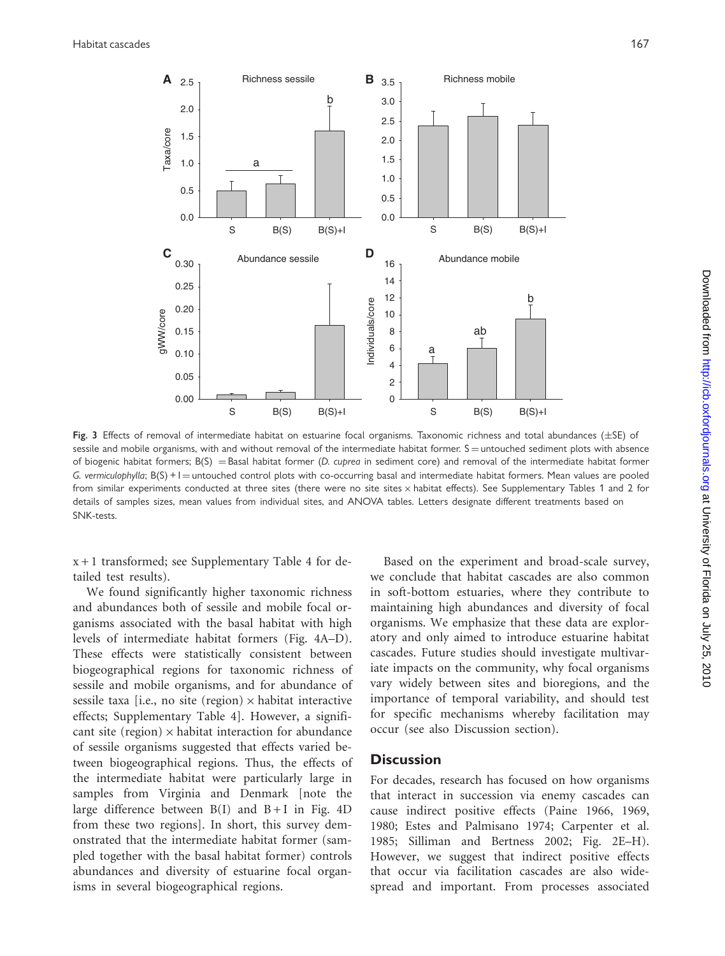

Fig. 3 Effects of removal of intermediate habitat on estuarine focal organisms. Taxonomic richness and total abundances  $(\pm S)$  of sessile and mobile organisms, with and without removal of the intermediate habitat former. S = untouched sediment plots with absence of biogenic habitat formers;  $B(S) =$ Basal habitat former (*D. cuprea* in sediment core) and removal of the intermediate habitat former G. vermiculophylla;  $B(S) + I =$  untouched control plots with co-occurring basal and intermediate habitat formers. Mean values are pooled from similar experiments conducted at three sites (there were no site sites x habitat effects). See Supplementary Tables 1 and 2 for details of samples sizes, mean values from individual sites, and ANOVA tables. Letters designate different treatments based on SNK-tests.

x + 1 transformed; see Supplementary Table 4 for detailed test results).

We found significantly higher taxonomic richness and abundances both of sessile and mobile focal organisms associated with the basal habitat with high levels of intermediate habitat formers (Fig. 4A–D). These effects were statistically consistent between biogeographical regions for taxonomic richness of sessile and mobile organisms, and for abundance of sessile taxa [i.e., no site (region)  $\times$  habitat interactive effects; Supplementary Table 4]. However, a significant site (region)  $\times$  habitat interaction for abundance of sessile organisms suggested that effects varied between biogeographical regions. Thus, the effects of the intermediate habitat were particularly large in samples from Virginia and Denmark [note the large difference between  $B(I)$  and  $B+I$  in Fig. 4D from these two regions]. In short, this survey demonstrated that the intermediate habitat former (sampled together with the basal habitat former) controls abundances and diversity of estuarine focal organisms in several biogeographical regions.

Based on the experiment and broad-scale survey, we conclude that habitat cascades are also common in soft-bottom estuaries, where they contribute to maintaining high abundances and diversity of focal organisms. We emphasize that these data are exploratory and only aimed to introduce estuarine habitat cascades. Future studies should investigate multivariate impacts on the community, why focal organisms vary widely between sites and bioregions, and the importance of temporal variability, and should test for specific mechanisms whereby facilitation may occur (see also Discussion section).

### **Discussion**

For decades, research has focused on how organisms that interact in succession via enemy cascades can cause indirect positive effects (Paine 1966, 1969, 1980; Estes and Palmisano 1974; Carpenter et al. 1985; Silliman and Bertness 2002; Fig. 2E–H). However, we suggest that indirect positive effects that occur via facilitation cascades are also widespread and important. From processes associated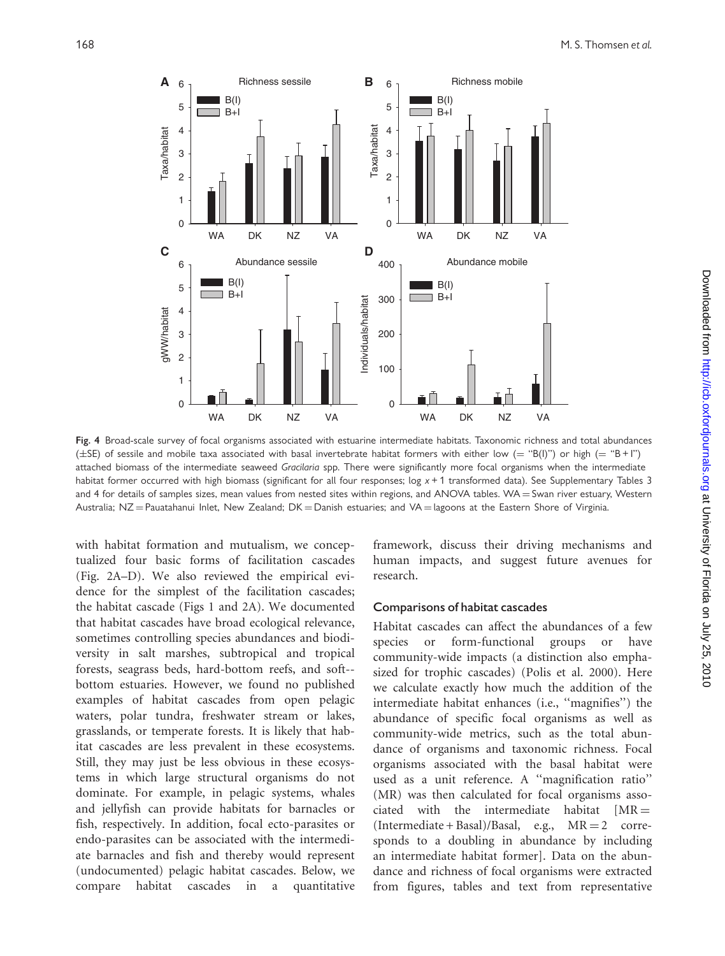

Fig. 4 Broad-scale survey of focal organisms associated with estuarine intermediate habitats. Taxonomic richness and total abundances ( $\pm$ SE) of sessile and mobile taxa associated with basal invertebrate habitat formers with either low (= "B(I)") or high (= "B + I") attached biomass of the intermediate seaweed Gracilaria spp. There were significantly more focal organisms when the intermediate habitat former occurred with high biomass (significant for all four responses; log x + 1 transformed data). See Supplementary Tables 3 and 4 for details of samples sizes, mean values from nested sites within regions, and ANOVA tables. WA = Swan river estuary, Western Australia; NZ = Pauatahanui Inlet, New Zealand; DK = Danish estuaries; and VA = lagoons at the Eastern Shore of Virginia.

with habitat formation and mutualism, we conceptualized four basic forms of facilitation cascades (Fig. 2A–D). We also reviewed the empirical evidence for the simplest of the facilitation cascades; the habitat cascade (Figs 1 and 2A). We documented that habitat cascades have broad ecological relevance, sometimes controlling species abundances and biodiversity in salt marshes, subtropical and tropical forests, seagrass beds, hard-bottom reefs, and soft- bottom estuaries. However, we found no published examples of habitat cascades from open pelagic waters, polar tundra, freshwater stream or lakes, grasslands, or temperate forests. It is likely that habitat cascades are less prevalent in these ecosystems. Still, they may just be less obvious in these ecosystems in which large structural organisms do not dominate. For example, in pelagic systems, whales and jellyfish can provide habitats for barnacles or fish, respectively. In addition, focal ecto-parasites or endo-parasites can be associated with the intermediate barnacles and fish and thereby would represent (undocumented) pelagic habitat cascades. Below, we compare habitat cascades in a quantitative

framework, discuss their driving mechanisms and human impacts, and suggest future avenues for research.

#### Comparisons of habitat cascades

Habitat cascades can affect the abundances of a few species or form-functional groups or have community-wide impacts (a distinction also emphasized for trophic cascades) (Polis et al. 2000). Here we calculate exactly how much the addition of the intermediate habitat enhances (i.e., ''magnifies'') the abundance of specific focal organisms as well as community-wide metrics, such as the total abundance of organisms and taxonomic richness. Focal organisms associated with the basal habitat were used as a unit reference. A ''magnification ratio'' (MR) was then calculated for focal organisms associated with the intermediate habitat  $[MR =$  $(Intermediate + Basal)/Basal, e.g., MR = 2 corre$ sponds to a doubling in abundance by including an intermediate habitat former]. Data on the abundance and richness of focal organisms were extracted from figures, tables and text from representative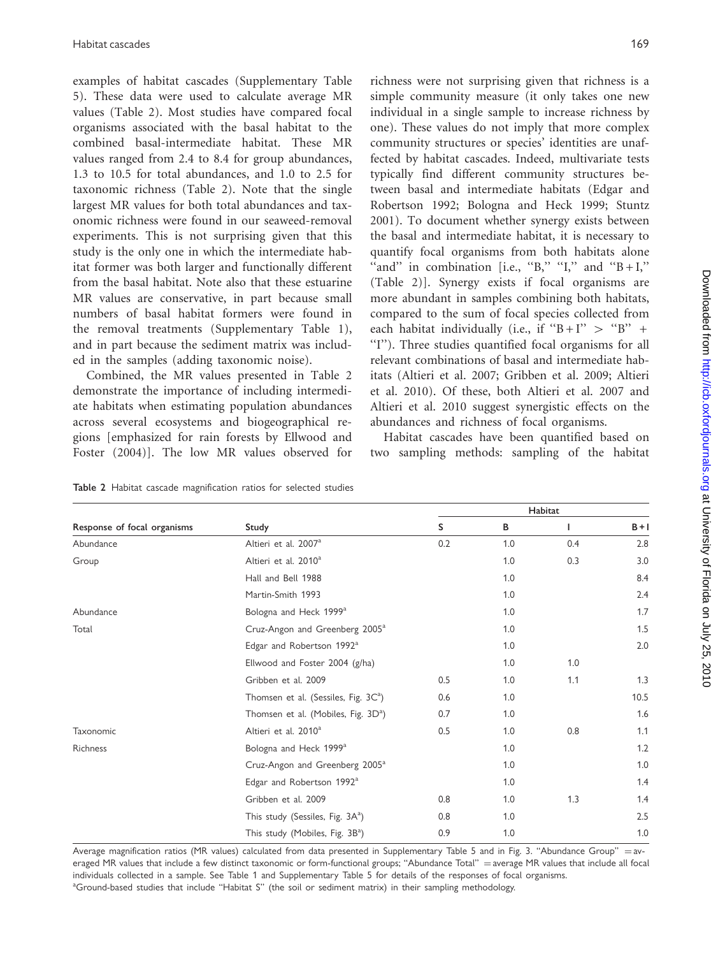examples of habitat cascades (Supplementary Table 5). These data were used to calculate average MR values (Table 2). Most studies have compared focal organisms associated with the basal habitat to the combined basal-intermediate habitat. These MR values ranged from 2.4 to 8.4 for group abundances, 1.3 to 10.5 for total abundances, and 1.0 to 2.5 for taxonomic richness (Table 2). Note that the single largest MR values for both total abundances and taxonomic richness were found in our seaweed-removal experiments. This is not surprising given that this study is the only one in which the intermediate habitat former was both larger and functionally different from the basal habitat. Note also that these estuarine MR values are conservative, in part because small numbers of basal habitat formers were found in the removal treatments (Supplementary Table 1), and in part because the sediment matrix was included in the samples (adding taxonomic noise).

Combined, the MR values presented in Table 2 demonstrate the importance of including intermediate habitats when estimating population abundances across several ecosystems and biogeographical regions [emphasized for rain forests by Ellwood and Foster (2004)]. The low MR values observed for richness were not surprising given that richness is a simple community measure (it only takes one new individual in a single sample to increase richness by one). These values do not imply that more complex community structures or species' identities are unaffected by habitat cascades. Indeed, multivariate tests typically find different community structures between basal and intermediate habitats (Edgar and Robertson 1992; Bologna and Heck 1999; Stuntz 2001). To document whether synergy exists between the basal and intermediate habitat, it is necessary to quantify focal organisms from both habitats alone "and" in combination [i.e., "B," "I," and "B + I," (Table 2)]. Synergy exists if focal organisms are more abundant in samples combining both habitats, compared to the sum of focal species collected from each habitat individually (i.e., if " $B + I'' > "B" +$ ''I''). Three studies quantified focal organisms for all relevant combinations of basal and intermediate habitats (Altieri et al. 2007; Gribben et al. 2009; Altieri et al. 2010). Of these, both Altieri et al. 2007 and Altieri et al. 2010 suggest synergistic effects on the abundances and richness of focal organisms.

Habitat cascades have been quantified based on two sampling methods: sampling of the habitat

|                             |                                                  |     | Habitat |     |         |  |
|-----------------------------|--------------------------------------------------|-----|---------|-----|---------|--|
| Response of focal organisms | Study                                            | s   | B       | т   | $B + I$ |  |
| Abundance                   | Altieri et al. 2007 <sup>a</sup>                 | 0.2 | 1.0     | 0.4 | 2.8     |  |
| Group                       | Altieri et al. 2010 <sup>a</sup>                 |     | 1.0     | 0.3 | 3.0     |  |
|                             | Hall and Bell 1988                               |     | 1.0     |     | 8.4     |  |
|                             | Martin-Smith 1993                                |     | 1.0     |     | 2.4     |  |
| Abundance                   | Bologna and Heck 1999 <sup>a</sup>               |     | 1.0     |     | 1.7     |  |
| Total                       | Cruz-Angon and Greenberg 2005 <sup>a</sup>       |     | 1.0     |     | 1.5     |  |
|                             | Edgar and Robertson 1992 <sup>a</sup>            |     | 1.0     |     | 2.0     |  |
|                             | Ellwood and Foster 2004 (g/ha)                   |     | 1.0     | 1.0 |         |  |
|                             | Gribben et al. 2009                              | 0.5 | 1.0     | 1.1 | 1.3     |  |
|                             | Thomsen et al. (Sessiles, Fig. 3C <sup>a</sup> ) | 0.6 | 1.0     |     | 10.5    |  |
|                             | Thomsen et al. (Mobiles, Fig. 3D <sup>a</sup> )  | 0.7 | 1.0     |     | 1.6     |  |
| Taxonomic                   | Altieri et al. 2010 <sup>a</sup>                 | 0.5 | 1.0     | 0.8 | 1.1     |  |
| Richness                    | Bologna and Heck 1999 <sup>a</sup>               |     | 1.0     |     | 1.2     |  |
|                             | Cruz-Angon and Greenberg 2005 <sup>a</sup>       |     | 1.0     |     | 1.0     |  |
|                             | Edgar and Robertson 1992 <sup>a</sup>            |     | 1.0     |     | 1.4     |  |
|                             | Gribben et al. 2009                              | 0.8 | 1.0     | 1.3 | 1.4     |  |
|                             | This study (Sessiles, Fig. 3A <sup>a</sup> )     | 0.8 | 1.0     |     | 2.5     |  |
|                             | This study (Mobiles, Fig. 3B <sup>a</sup> )      | 0.9 | 1.0     |     | 1.0     |  |

Table 2 Habitat cascade magnification ratios for selected studies

Average magnification ratios (MR values) calculated from data presented in Supplementary Table 5 and in Fig. 3. "Abundance Group" = averaged MR values that include a few distinct taxonomic or form-functional groups; "Abundance Total" = average MR values that include all focal individuals collected in a sample. See Table 1 and Supplementary Table 5 for details of the responses of focal organisms. <sup>a</sup>Ground-based studies that include "Habitat S" (the soil or sediment matrix) in their sampling methodology.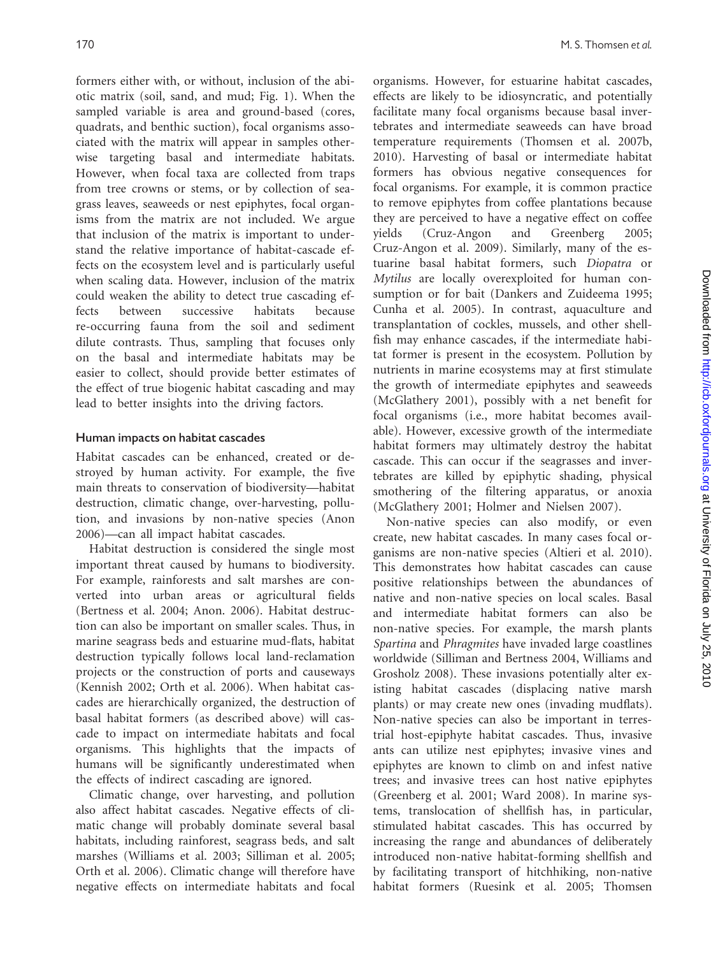formers either with, or without, inclusion of the abiotic matrix (soil, sand, and mud; Fig. 1). When the sampled variable is area and ground-based (cores, quadrats, and benthic suction), focal organisms associated with the matrix will appear in samples otherwise targeting basal and intermediate habitats. However, when focal taxa are collected from traps from tree crowns or stems, or by collection of seagrass leaves, seaweeds or nest epiphytes, focal organisms from the matrix are not included. We argue that inclusion of the matrix is important to understand the relative importance of habitat-cascade effects on the ecosystem level and is particularly useful when scaling data. However, inclusion of the matrix could weaken the ability to detect true cascading effects between successive habitats because re-occurring fauna from the soil and sediment dilute contrasts. Thus, sampling that focuses only on the basal and intermediate habitats may be easier to collect, should provide better estimates of the effect of true biogenic habitat cascading and may lead to better insights into the driving factors.

#### Human impacts on habitat cascades

Habitat cascades can be enhanced, created or destroyed by human activity. For example, the five main threats to conservation of biodiversity—habitat destruction, climatic change, over-harvesting, pollution, and invasions by non-native species (Anon 2006)—can all impact habitat cascades.

Habitat destruction is considered the single most important threat caused by humans to biodiversity. For example, rainforests and salt marshes are converted into urban areas or agricultural fields (Bertness et al. 2004; Anon. 2006). Habitat destruction can also be important on smaller scales. Thus, in marine seagrass beds and estuarine mud-flats, habitat destruction typically follows local land-reclamation projects or the construction of ports and causeways (Kennish 2002; Orth et al. 2006). When habitat cascades are hierarchically organized, the destruction of basal habitat formers (as described above) will cascade to impact on intermediate habitats and focal organisms. This highlights that the impacts of humans will be significantly underestimated when the effects of indirect cascading are ignored.

Climatic change, over harvesting, and pollution also affect habitat cascades. Negative effects of climatic change will probably dominate several basal habitats, including rainforest, seagrass beds, and salt marshes (Williams et al. 2003; Silliman et al. 2005; Orth et al. 2006). Climatic change will therefore have negative effects on intermediate habitats and focal organisms. However, for estuarine habitat cascades, effects are likely to be idiosyncratic, and potentially facilitate many focal organisms because basal invertebrates and intermediate seaweeds can have broad temperature requirements (Thomsen et al. 2007b, 2010). Harvesting of basal or intermediate habitat formers has obvious negative consequences for focal organisms. For example, it is common practice to remove epiphytes from coffee plantations because they are perceived to have a negative effect on coffee yields (Cruz-Angon and Greenberg 2005; Cruz-Angon et al. 2009). Similarly, many of the estuarine basal habitat formers, such Diopatra or Mytilus are locally overexploited for human consumption or for bait (Dankers and Zuideema 1995; Cunha et al. 2005). In contrast, aquaculture and transplantation of cockles, mussels, and other shellfish may enhance cascades, if the intermediate habitat former is present in the ecosystem. Pollution by nutrients in marine ecosystems may at first stimulate the growth of intermediate epiphytes and seaweeds (McGlathery 2001), possibly with a net benefit for focal organisms (i.e., more habitat becomes available). However, excessive growth of the intermediate habitat formers may ultimately destroy the habitat cascade. This can occur if the seagrasses and invertebrates are killed by epiphytic shading, physical smothering of the filtering apparatus, or anoxia (McGlathery 2001; Holmer and Nielsen 2007).

Non-native species can also modify, or even create, new habitat cascades. In many cases focal organisms are non-native species (Altieri et al. 2010). This demonstrates how habitat cascades can cause positive relationships between the abundances of native and non-native species on local scales. Basal and intermediate habitat formers can also be non-native species. For example, the marsh plants Spartina and Phragmites have invaded large coastlines worldwide (Silliman and Bertness 2004, Williams and Grosholz 2008). These invasions potentially alter existing habitat cascades (displacing native marsh plants) or may create new ones (invading mudflats). Non-native species can also be important in terrestrial host-epiphyte habitat cascades. Thus, invasive ants can utilize nest epiphytes; invasive vines and epiphytes are known to climb on and infest native trees; and invasive trees can host native epiphytes (Greenberg et al. 2001; Ward 2008). In marine systems, translocation of shellfish has, in particular, stimulated habitat cascades. This has occurred by increasing the range and abundances of deliberately introduced non-native habitat-forming shellfish and by facilitating transport of hitchhiking, non-native habitat formers (Ruesink et al. 2005; Thomsen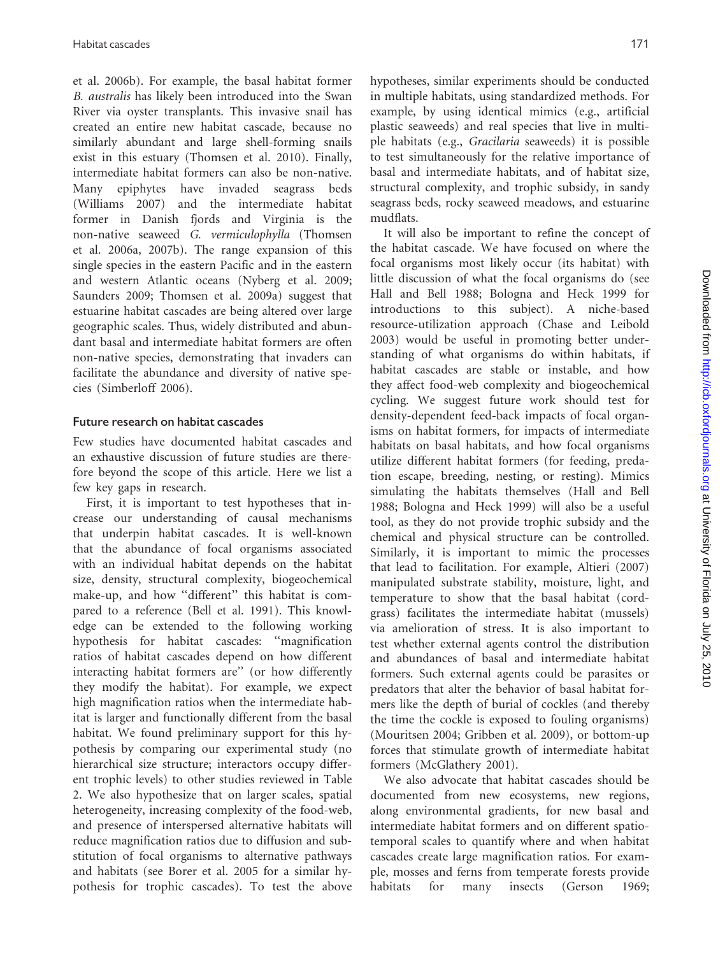et al. 2006b). For example, the basal habitat former B. australis has likely been introduced into the Swan River via oyster transplants. This invasive snail has created an entire new habitat cascade, because no similarly abundant and large shell-forming snails exist in this estuary (Thomsen et al. 2010). Finally, intermediate habitat formers can also be non-native. Many epiphytes have invaded seagrass beds (Williams 2007) and the intermediate habitat former in Danish fjords and Virginia is the non-native seaweed G. vermiculophylla (Thomsen et al. 2006a, 2007b). The range expansion of this single species in the eastern Pacific and in the eastern and western Atlantic oceans (Nyberg et al. 2009; Saunders 2009; Thomsen et al. 2009a) suggest that estuarine habitat cascades are being altered over large geographic scales. Thus, widely distributed and abundant basal and intermediate habitat formers are often non-native species, demonstrating that invaders can facilitate the abundance and diversity of native species (Simberloff 2006).

#### Future research on habitat cascades

Few studies have documented habitat cascades and an exhaustive discussion of future studies are therefore beyond the scope of this article. Here we list a few key gaps in research.

First, it is important to test hypotheses that increase our understanding of causal mechanisms that underpin habitat cascades. It is well-known that the abundance of focal organisms associated with an individual habitat depends on the habitat size, density, structural complexity, biogeochemical make-up, and how ''different'' this habitat is compared to a reference (Bell et al. 1991). This knowledge can be extended to the following working hypothesis for habitat cascades: ''magnification ratios of habitat cascades depend on how different interacting habitat formers are'' (or how differently they modify the habitat). For example, we expect high magnification ratios when the intermediate habitat is larger and functionally different from the basal habitat. We found preliminary support for this hypothesis by comparing our experimental study (no hierarchical size structure; interactors occupy different trophic levels) to other studies reviewed in Table 2. We also hypothesize that on larger scales, spatial heterogeneity, increasing complexity of the food-web, and presence of interspersed alternative habitats will reduce magnification ratios due to diffusion and substitution of focal organisms to alternative pathways and habitats (see Borer et al. 2005 for a similar hypothesis for trophic cascades). To test the above

hypotheses, similar experiments should be conducted in multiple habitats, using standardized methods. For example, by using identical mimics (e.g., artificial plastic seaweeds) and real species that live in multiple habitats (e.g., Gracilaria seaweeds) it is possible to test simultaneously for the relative importance of basal and intermediate habitats, and of habitat size, structural complexity, and trophic subsidy, in sandy seagrass beds, rocky seaweed meadows, and estuarine mudflats.

It will also be important to refine the concept of the habitat cascade. We have focused on where the focal organisms most likely occur (its habitat) with little discussion of what the focal organisms do (see Hall and Bell 1988; Bologna and Heck 1999 for introductions to this subject). A niche-based resource-utilization approach (Chase and Leibold 2003) would be useful in promoting better understanding of what organisms do within habitats, if habitat cascades are stable or instable, and how they affect food-web complexity and biogeochemical cycling. We suggest future work should test for density-dependent feed-back impacts of focal organisms on habitat formers, for impacts of intermediate habitats on basal habitats, and how focal organisms utilize different habitat formers (for feeding, predation escape, breeding, nesting, or resting). Mimics simulating the habitats themselves (Hall and Bell 1988; Bologna and Heck 1999) will also be a useful tool, as they do not provide trophic subsidy and the chemical and physical structure can be controlled. Similarly, it is important to mimic the processes that lead to facilitation. For example, Altieri (2007) manipulated substrate stability, moisture, light, and temperature to show that the basal habitat (cordgrass) facilitates the intermediate habitat (mussels) via amelioration of stress. It is also important to test whether external agents control the distribution and abundances of basal and intermediate habitat formers. Such external agents could be parasites or predators that alter the behavior of basal habitat formers like the depth of burial of cockles (and thereby the time the cockle is exposed to fouling organisms) (Mouritsen 2004; Gribben et al. 2009), or bottom-up forces that stimulate growth of intermediate habitat formers (McGlathery 2001).

We also advocate that habitat cascades should be documented from new ecosystems, new regions, along environmental gradients, for new basal and intermediate habitat formers and on different spatiotemporal scales to quantify where and when habitat cascades create large magnification ratios. For example, mosses and ferns from temperate forests provide habitats for many insects (Gerson 1969;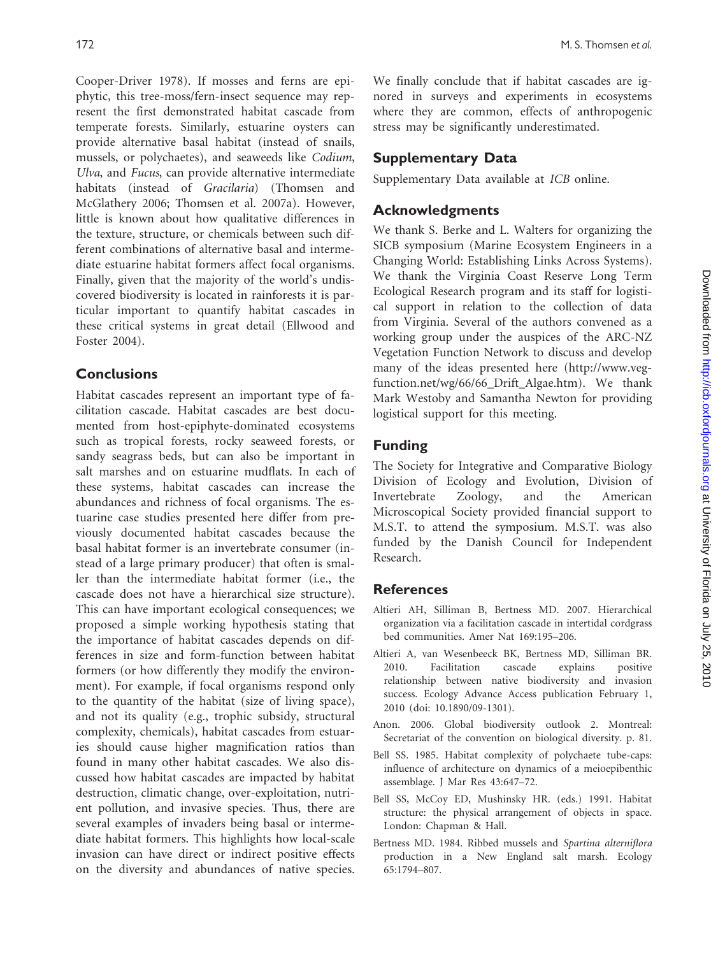Cooper-Driver 1978). If mosses and ferns are epiphytic, this tree-moss/fern-insect sequence may represent the first demonstrated habitat cascade from temperate forests. Similarly, estuarine oysters can provide alternative basal habitat (instead of snails, mussels, or polychaetes), and seaweeds like Codium, Ulva, and Fucus, can provide alternative intermediate habitats (instead of Gracilaria) (Thomsen and McGlathery 2006; Thomsen et al. 2007a). However, little is known about how qualitative differences in the texture, structure, or chemicals between such different combinations of alternative basal and intermediate estuarine habitat formers affect focal organisms. Finally, given that the majority of the world's undiscovered biodiversity is located in rainforests it is particular important to quantify habitat cascades in these critical systems in great detail (Ellwood and Foster 2004).

# **Conclusions**

Habitat cascades represent an important type of facilitation cascade. Habitat cascades are best documented from host-epiphyte-dominated ecosystems such as tropical forests, rocky seaweed forests, or sandy seagrass beds, but can also be important in salt marshes and on estuarine mudflats. In each of these systems, habitat cascades can increase the abundances and richness of focal organisms. The estuarine case studies presented here differ from previously documented habitat cascades because the basal habitat former is an invertebrate consumer (instead of a large primary producer) that often is smaller than the intermediate habitat former (i.e., the cascade does not have a hierarchical size structure). This can have important ecological consequences; we proposed a simple working hypothesis stating that the importance of habitat cascades depends on differences in size and form-function between habitat formers (or how differently they modify the environment). For example, if focal organisms respond only to the quantity of the habitat (size of living space), and not its quality (e.g., trophic subsidy, structural complexity, chemicals), habitat cascades from estuaries should cause higher magnification ratios than found in many other habitat cascades. We also discussed how habitat cascades are impacted by habitat destruction, climatic change, over-exploitation, nutrient pollution, and invasive species. Thus, there are several examples of invaders being basal or intermediate habitat formers. This highlights how local-scale invasion can have direct or indirect positive effects on the diversity and abundances of native species.

We finally conclude that if habitat cascades are ignored in surveys and experiments in ecosystems where they are common, effects of anthropogenic stress may be significantly underestimated.

# Supplementary Data

Supplementary Data available at ICB online.

## Acknowledgments

We thank S. Berke and L. Walters for organizing the SICB symposium (Marine Ecosystem Engineers in a Changing World: Establishing Links Across Systems). We thank the Virginia Coast Reserve Long Term Ecological Research program and its staff for logistical support in relation to the collection of data from Virginia. Several of the authors convened as a working group under the auspices of the ARC-NZ Vegetation Function Network to discuss and develop many of the ideas presented here (http://www.vegfunction.net/wg/66/66\_Drift\_Algae.htm). We thank Mark Westoby and Samantha Newton for providing logistical support for this meeting.

# Funding

The Society for Integrative and Comparative Biology Division of Ecology and Evolution, Division of Invertebrate Zoology, and the American Microscopical Society provided financial support to M.S.T. to attend the symposium. M.S.T. was also funded by the Danish Council for Independent Research.

## **References**

- Altieri AH, Silliman B, Bertness MD. 2007. Hierarchical organization via a facilitation cascade in intertidal cordgrass bed communities. Amer Nat 169:195–206.
- Altieri A, van Wesenbeeck BK, Bertness MD, Silliman BR. 2010. Facilitation cascade explains positive relationship between native biodiversity and invasion success. Ecology Advance Access publication February 1, 2010 (doi: 10.1890/09-1301).
- Anon. 2006. Global biodiversity outlook 2. Montreal: Secretariat of the convention on biological diversity. p. 81.
- Bell SS. 1985. Habitat complexity of polychaete tube-caps: influence of architecture on dynamics of a meioepibenthic assemblage. J Mar Res 43:647–72.
- Bell SS, McCoy ED, Mushinsky HR. (eds.) 1991. Habitat structure: the physical arrangement of objects in space. London: Chapman & Hall.
- Bertness MD. 1984. Ribbed mussels and Spartina alterniflora production in a New England salt marsh. Ecology 65:1794–807.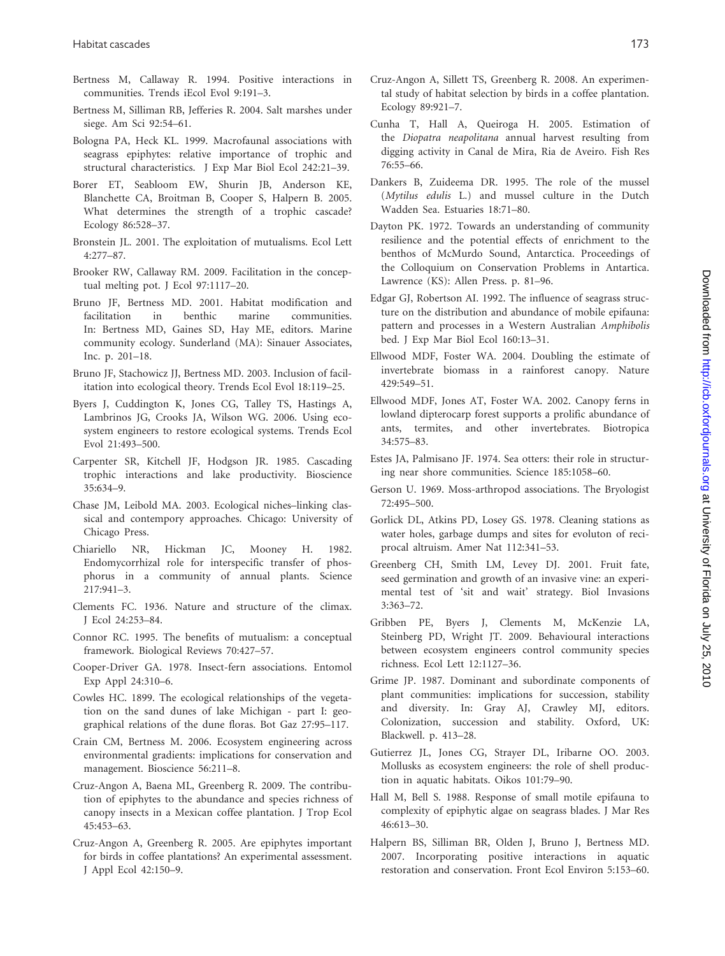- Bertness M, Callaway R. 1994. Positive interactions in communities. Trends iEcol Evol 9:191–3.
- Bertness M, Silliman RB, Jefferies R. 2004. Salt marshes under siege. Am Sci 92:54–61.
- Bologna PA, Heck KL. 1999. Macrofaunal associations with seagrass epiphytes: relative importance of trophic and structural characteristics. J Exp Mar Biol Ecol 242:21–39.
- Borer ET, Seabloom EW, Shurin JB, Anderson KE, Blanchette CA, Broitman B, Cooper S, Halpern B. 2005. What determines the strength of a trophic cascade? Ecology 86:528–37.
- Bronstein JL. 2001. The exploitation of mutualisms. Ecol Lett 4:277–87.
- Brooker RW, Callaway RM. 2009. Facilitation in the conceptual melting pot. J Ecol 97:1117–20.
- Bruno JF, Bertness MD. 2001. Habitat modification and facilitation in benthic marine communities. In: Bertness MD, Gaines SD, Hay ME, editors. Marine community ecology. Sunderland (MA): Sinauer Associates, Inc. p. 201–18.
- Bruno JF, Stachowicz JJ, Bertness MD. 2003. Inclusion of facilitation into ecological theory. Trends Ecol Evol 18:119–25.
- Byers J, Cuddington K, Jones CG, Talley TS, Hastings A, Lambrinos JG, Crooks JA, Wilson WG. 2006. Using ecosystem engineers to restore ecological systems. Trends Ecol Evol 21:493–500.
- Carpenter SR, Kitchell JF, Hodgson JR. 1985. Cascading trophic interactions and lake productivity. Bioscience 35:634–9.
- Chase JM, Leibold MA. 2003. Ecological niches–linking classical and contempory approaches. Chicago: University of Chicago Press.
- Chiariello NR, Hickman JC, Mooney H. 1982. Endomycorrhizal role for interspecific transfer of phosphorus in a community of annual plants. Science 217:941–3.
- Clements FC. 1936. Nature and structure of the climax. J Ecol 24:253–84.
- Connor RC. 1995. The benefits of mutualism: a conceptual framework. Biological Reviews 70:427–57.
- Cooper-Driver GA. 1978. Insect-fern associations. Entomol Exp Appl 24:310–6.
- Cowles HC. 1899. The ecological relationships of the vegetation on the sand dunes of lake Michigan - part I: geographical relations of the dune floras. Bot Gaz 27:95–117.
- Crain CM, Bertness M. 2006. Ecosystem engineering across environmental gradients: implications for conservation and management. Bioscience 56:211–8.
- Cruz-Angon A, Baena ML, Greenberg R. 2009. The contribution of epiphytes to the abundance and species richness of canopy insects in a Mexican coffee plantation. J Trop Ecol 45:453–63.
- Cruz-Angon A, Greenberg R. 2005. Are epiphytes important for birds in coffee plantations? An experimental assessment. J Appl Ecol 42:150–9.
- Cruz-Angon A, Sillett TS, Greenberg R. 2008. An experimental study of habitat selection by birds in a coffee plantation. Ecology 89:921–7.
- Cunha T, Hall A, Queiroga H. 2005. Estimation of the Diopatra neapolitana annual harvest resulting from digging activity in Canal de Mira, Ria de Aveiro. Fish Res 76:55–66.
- Dankers B, Zuideema DR. 1995. The role of the mussel (Mytilus edulis L.) and mussel culture in the Dutch Wadden Sea. Estuaries 18:71–80.
- Dayton PK. 1972. Towards an understanding of community resilience and the potential effects of enrichment to the benthos of McMurdo Sound, Antarctica. Proceedings of the Colloquium on Conservation Problems in Antartica. Lawrence (KS): Allen Press. p. 81–96.
- Edgar GJ, Robertson AI. 1992. The influence of seagrass structure on the distribution and abundance of mobile epifauna: pattern and processes in a Western Australian Amphibolis bed. J Exp Mar Biol Ecol 160:13–31.
- Ellwood MDF, Foster WA. 2004. Doubling the estimate of invertebrate biomass in a rainforest canopy. Nature 429:549–51.
- Ellwood MDF, Jones AT, Foster WA. 2002. Canopy ferns in lowland dipterocarp forest supports a prolific abundance of ants, termites, and other invertebrates. Biotropica 34:575–83.
- Estes JA, Palmisano JF. 1974. Sea otters: their role in structuring near shore communities. Science 185:1058–60.
- Gerson U. 1969. Moss-arthropod associations. The Bryologist 72:495–500.
- Gorlick DL, Atkins PD, Losey GS. 1978. Cleaning stations as water holes, garbage dumps and sites for evoluton of reciprocal altruism. Amer Nat 112:341–53.
- Greenberg CH, Smith LM, Levey DJ. 2001. Fruit fate, seed germination and growth of an invasive vine: an experimental test of 'sit and wait' strategy. Biol Invasions 3:363–72.
- Gribben PE, Byers J, Clements M, McKenzie LA, Steinberg PD, Wright JT. 2009. Behavioural interactions between ecosystem engineers control community species richness. Ecol Lett 12:1127–36.
- Grime JP. 1987. Dominant and subordinate components of plant communities: implications for succession, stability and diversity. In: Gray AJ, Crawley MJ, editors. Colonization, succession and stability. Oxford, UK: Blackwell. p. 413–28.
- Gutierrez JL, Jones CG, Strayer DL, Iribarne OO. 2003. Mollusks as ecosystem engineers: the role of shell production in aquatic habitats. Oikos 101:79–90.
- Hall M, Bell S. 1988. Response of small motile epifauna to complexity of epiphytic algae on seagrass blades. J Mar Res 46:613–30.
- Halpern BS, Silliman BR, Olden J, Bruno J, Bertness MD. 2007. Incorporating positive interactions in aquatic restoration and conservation. Front Ecol Environ 5:153–60.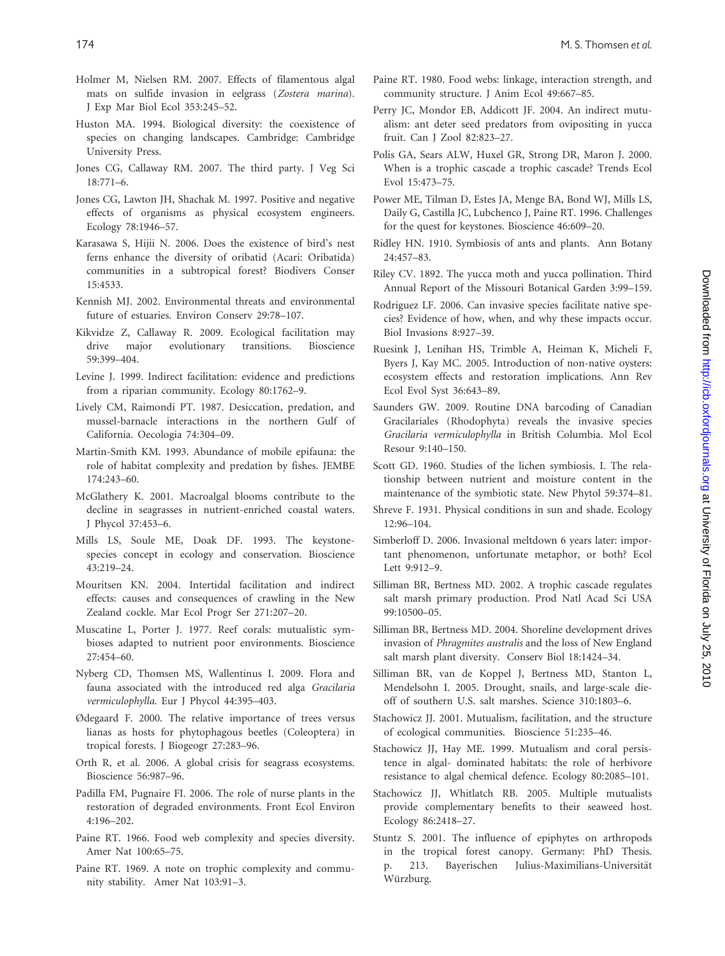- Holmer M, Nielsen RM. 2007. Effects of filamentous algal mats on sulfide invasion in eelgrass (Zostera marina). J Exp Mar Biol Ecol 353:245–52.
- Huston MA. 1994. Biological diversity: the coexistence of species on changing landscapes. Cambridge: Cambridge University Press.
- Jones CG, Callaway RM. 2007. The third party. J Veg Sci 18:771–6.
- Jones CG, Lawton JH, Shachak M. 1997. Positive and negative effects of organisms as physical ecosystem engineers. Ecology 78:1946–57.
- Karasawa S, Hijii N. 2006. Does the existence of bird's nest ferns enhance the diversity of oribatid (Acari: Oribatida) communities in a subtropical forest? Biodivers Conser 15:4533.
- Kennish MJ. 2002. Environmental threats and environmental future of estuaries. Environ Conserv 29:78–107.
- Kikvidze Z, Callaway R. 2009. Ecological facilitation may drive major evolutionary transitions. Bioscience 59:399–404.
- Levine J. 1999. Indirect facilitation: evidence and predictions from a riparian community. Ecology 80:1762–9.
- Lively CM, Raimondi PT. 1987. Desiccation, predation, and mussel-barnacle interactions in the northern Gulf of California. Oecologia 74:304–09.
- Martin-Smith KM. 1993. Abundance of mobile epifauna: the role of habitat complexity and predation by fishes. JEMBE 174:243–60.
- McGlathery K. 2001. Macroalgal blooms contribute to the decline in seagrasses in nutrient-enriched coastal waters. J Phycol 37:453–6.
- Mills LS, Soule ME, Doak DF. 1993. The keystonespecies concept in ecology and conservation. Bioscience 43:219–24.
- Mouritsen KN. 2004. Intertidal facilitation and indirect effects: causes and consequences of crawling in the New Zealand cockle. Mar Ecol Progr Ser 271:207–20.
- Muscatine L, Porter J. 1977. Reef corals: mutualistic symbioses adapted to nutrient poor environments. Bioscience 27:454–60.
- Nyberg CD, Thomsen MS, Wallentinus I. 2009. Flora and fauna associated with the introduced red alga Gracilaria vermiculophylla. Eur J Phycol 44:395–403.
- Ødegaard F. 2000. The relative importance of trees versus lianas as hosts for phytophagous beetles (Coleoptera) in tropical forests. J Biogeogr 27:283–96.
- Orth R, et al. 2006. A global crisis for seagrass ecosystems. Bioscience 56:987–96.
- Padilla FM, Pugnaire FI. 2006. The role of nurse plants in the restoration of degraded environments. Front Ecol Environ 4:196–202.
- Paine RT. 1966. Food web complexity and species diversity. Amer Nat 100:65–75.
- Paine RT. 1969. A note on trophic complexity and community stability. Amer Nat 103:91–3.
- Paine RT. 1980. Food webs: linkage, interaction strength, and community structure. J Anim Ecol 49:667–85.
- Perry JC, Mondor EB, Addicott JF. 2004. An indirect mutualism: ant deter seed predators from ovipositing in yucca fruit. Can J Zool 82:823–27.
- Polis GA, Sears ALW, Huxel GR, Strong DR, Maron J. 2000. When is a trophic cascade a trophic cascade? Trends Ecol Evol 15:473–75.
- Power ME, Tilman D, Estes JA, Menge BA, Bond WJ, Mills LS, Daily G, Castilla JC, Lubchenco J, Paine RT. 1996. Challenges for the quest for keystones. Bioscience 46:609–20.
- Ridley HN. 1910. Symbiosis of ants and plants. Ann Botany 24:457–83.
- Riley CV. 1892. The yucca moth and yucca pollination. Third Annual Report of the Missouri Botanical Garden 3:99–159.
- Rodriguez LF. 2006. Can invasive species facilitate native species? Evidence of how, when, and why these impacts occur. Biol Invasions 8:927–39.
- Ruesink J, Lenihan HS, Trimble A, Heiman K, Micheli F, Byers J, Kay MC. 2005. Introduction of non-native oysters: ecosystem effects and restoration implications. Ann Rev Ecol Evol Syst 36:643–89.
- Saunders GW. 2009. Routine DNA barcoding of Canadian Gracilariales (Rhodophyta) reveals the invasive species Gracilaria vermiculophylla in British Columbia. Mol Ecol Resour 9:140–150.
- Scott GD. 1960. Studies of the lichen symbiosis. I. The relationship between nutrient and moisture content in the maintenance of the symbiotic state. New Phytol 59:374–81.
- Shreve F. 1931. Physical conditions in sun and shade. Ecology 12:96–104.
- Simberloff D. 2006. Invasional meltdown 6 years later: important phenomenon, unfortunate metaphor, or both? Ecol Lett 9:912–9.
- Silliman BR, Bertness MD. 2002. A trophic cascade regulates salt marsh primary production. Prod Natl Acad Sci USA 99:10500–05.
- Silliman BR, Bertness MD. 2004. Shoreline development drives invasion of Phragmites australis and the loss of New England salt marsh plant diversity. Conserv Biol 18:1424–34.
- Silliman BR, van de Koppel J, Bertness MD, Stanton L, Mendelsohn I. 2005. Drought, snails, and large-scale dieoff of southern U.S. salt marshes. Science 310:1803–6.
- Stachowicz JJ. 2001. Mutualism, facilitation, and the structure of ecological communities. Bioscience 51:235–46.
- Stachowicz JJ, Hay ME. 1999. Mutualism and coral persistence in algal- dominated habitats: the role of herbivore resistance to algal chemical defence. Ecology 80:2085–101.
- Stachowicz JJ, Whitlatch RB. 2005. Multiple mutualists provide complementary benefits to their seaweed host. Ecology 86:2418–27.
- Stuntz S. 2001. The influence of epiphytes on arthropods in the tropical forest canopy. Germany: PhD Thesis. p. 213. Bayerischen Julius-Maximilians-Universität Würzburg.